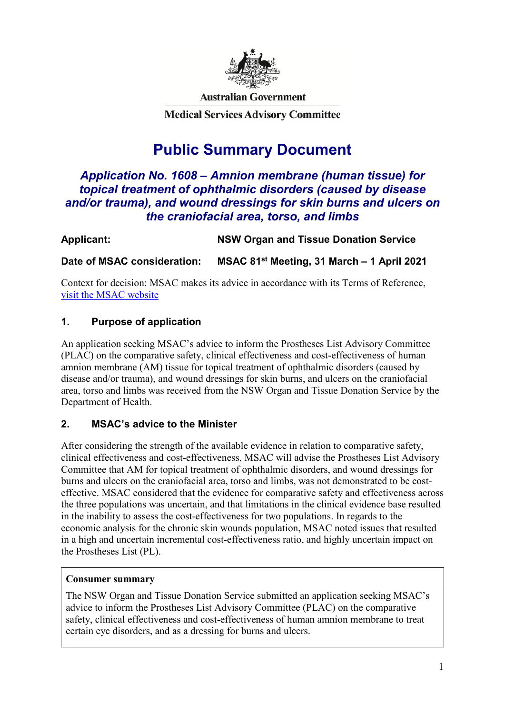

**Australian Government** 

**Medical Services Advisory Committee** 

# **Public Summary Document**

# *Application No. 1608 – Amnion membrane (human tissue) for topical treatment of ophthalmic disorders (caused by disease and/or trauma), and wound dressings for skin burns and ulcers on the craniofacial area, torso, and limbs*

| Applicant:                  | <b>NSW Organ and Tissue Donation Service</b>           |
|-----------------------------|--------------------------------------------------------|
| Date of MSAC consideration: | MSAC 81 <sup>st</sup> Meeting, 31 March - 1 April 2021 |

Context for decision: MSAC makes its advice in accordance with its Terms of Reference, [visit the MSAC website](http://www.msac.gov.au/)

# **1. Purpose of application**

An application seeking MSAC's advice to inform the Prostheses List Advisory Committee (PLAC) on the comparative safety, clinical effectiveness and cost-effectiveness of human amnion membrane (AM) tissue for topical treatment of ophthalmic disorders (caused by disease and/or trauma), and wound dressings for skin burns, and ulcers on the craniofacial area, torso and limbs was received from the NSW Organ and Tissue Donation Service by the Department of Health.

# **2. MSAC's advice to the Minister**

After considering the strength of the available evidence in relation to comparative safety, clinical effectiveness and cost-effectiveness, MSAC will advise the Prostheses List Advisory Committee that AM for topical treatment of ophthalmic disorders, and wound dressings for burns and ulcers on the craniofacial area, torso and limbs, was not demonstrated to be costeffective. MSAC considered that the evidence for comparative safety and effectiveness across the three populations was uncertain, and that limitations in the clinical evidence base resulted in the inability to assess the cost-effectiveness for two populations. In regards to the economic analysis for the chronic skin wounds population, MSAC noted issues that resulted in a high and uncertain incremental cost-effectiveness ratio, and highly uncertain impact on the Prostheses List (PL).

### **Consumer summary**

The NSW Organ and Tissue Donation Service submitted an application seeking MSAC's advice to inform the Prostheses List Advisory Committee (PLAC) on the comparative safety, clinical effectiveness and cost-effectiveness of human amnion membrane to treat certain eye disorders, and as a dressing for burns and ulcers.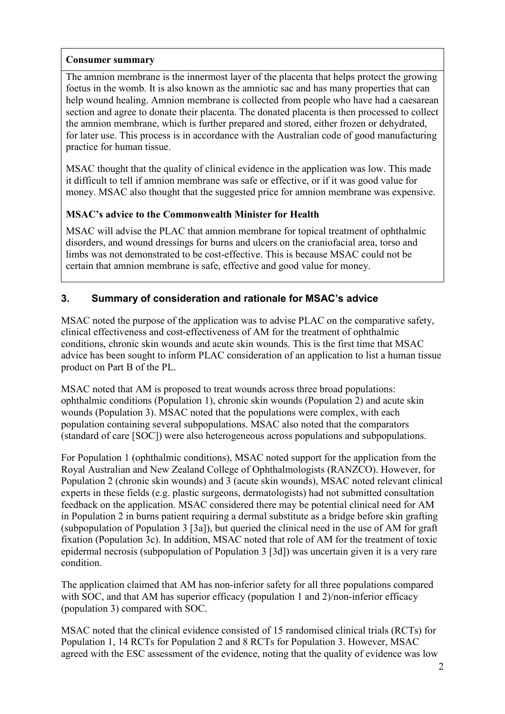#### **Consumer summary**

The amnion membrane is the innermost layer of the placenta that helps protect the growing foetus in the womb. It is also known as the amniotic sac and has many properties that can help wound healing. Amnion membrane is collected from people who have had a caesarean section and agree to donate their placenta. The donated placenta is then processed to collect the amnion membrane, which is further prepared and stored, either frozen or dehydrated, for later use. This process is in accordance with the Australian code of good manufacturing practice for human tissue.

MSAC thought that the quality of clinical evidence in the application was low. This made it difficult to tell if amnion membrane was safe or effective, or if it was good value for money. MSAC also thought that the suggested price for amnion membrane was expensive.

### **MSAC's advice to the Commonwealth Minister for Health**

MSAC will advise the PLAC that amnion membrane for topical treatment of ophthalmic disorders, and wound dressings for burns and ulcers on the craniofacial area, torso and limbs was not demonstrated to be cost-effective. This is because MSAC could not be certain that amnion membrane is safe, effective and good value for money.

### **3. Summary of consideration and rationale for MSAC's advice**

MSAC noted the purpose of the application was to advise PLAC on the comparative safety, clinical effectiveness and cost-effectiveness of AM for the treatment of ophthalmic conditions, chronic skin wounds and acute skin wounds. This is the first time that MSAC advice has been sought to inform PLAC consideration of an application to list a human tissue product on Part B of the PL.

MSAC noted that AM is proposed to treat wounds across three broad populations: ophthalmic conditions (Population 1), chronic skin wounds (Population 2) and acute skin wounds (Population 3). MSAC noted that the populations were complex, with each population containing several subpopulations. MSAC also noted that the comparators (standard of care [SOC]) were also heterogeneous across populations and subpopulations.

For Population 1 (ophthalmic conditions), MSAC noted support for the application from the Royal Australian and New Zealand College of Ophthalmologists (RANZCO). However, for Population 2 (chronic skin wounds) and 3 (acute skin wounds), MSAC noted relevant clinical experts in these fields (e.g. plastic surgeons, dermatologists) had not submitted consultation feedback on the application. MSAC considered there may be potential clinical need for AM in Population 2 in burns patient requiring a dermal substitute as a bridge before skin grafting (subpopulation of Population 3 [3a]), but queried the clinical need in the use of AM for graft fixation (Population 3c). In addition, MSAC noted that role of AM for the treatment of toxic epidermal necrosis (subpopulation of Population 3 [3d]) was uncertain given it is a very rare condition.

The application claimed that AM has non-inferior safety for all three populations compared with SOC, and that AM has superior efficacy (population 1 and 2)/non-inferior efficacy (population 3) compared with SOC.

MSAC noted that the clinical evidence consisted of 15 randomised clinical trials (RCTs) for Population 1, 14 RCTs for Population 2 and 8 RCTs for Population 3. However, MSAC agreed with the ESC assessment of the evidence, noting that the quality of evidence was low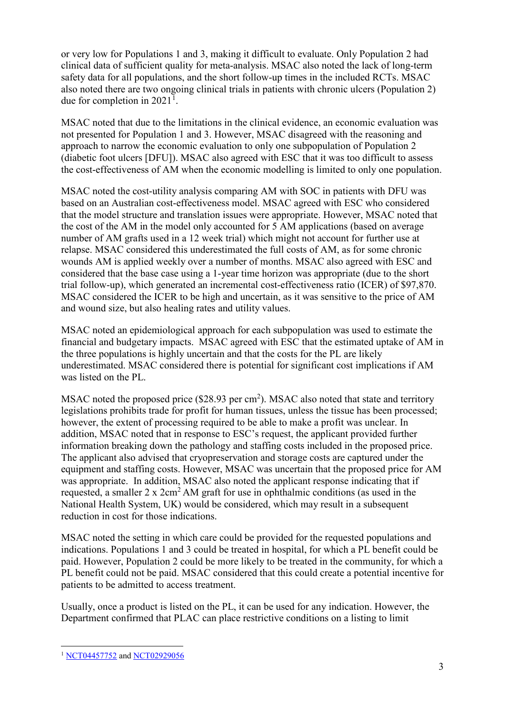or very low for Populations 1 and 3, making it difficult to evaluate. Only Population 2 had clinical data of sufficient quality for meta-analysis. MSAC also noted the lack of long-term safety data for all populations, and the short follow-up times in the included RCTs. MSAC also noted there are two ongoing clinical trials in patients with chronic ulcers (Population 2) due for completion in  $2021<sup>1</sup>$  $2021<sup>1</sup>$  $2021<sup>1</sup>$ .

MSAC noted that due to the limitations in the clinical evidence, an economic evaluation was not presented for Population 1 and 3. However, MSAC disagreed with the reasoning and approach to narrow the economic evaluation to only one subpopulation of Population 2 (diabetic foot ulcers [DFU]). MSAC also agreed with ESC that it was too difficult to assess the cost-effectiveness of AM when the economic modelling is limited to only one population.

MSAC noted the cost-utility analysis comparing AM with SOC in patients with DFU was based on an Australian cost-effectiveness model. MSAC agreed with ESC who considered that the model structure and translation issues were appropriate. However, MSAC noted that the cost of the AM in the model only accounted for 5 AM applications (based on average number of AM grafts used in a 12 week trial) which might not account for further use at relapse. MSAC considered this underestimated the full costs of AM, as for some chronic wounds AM is applied weekly over a number of months. MSAC also agreed with ESC and considered that the base case using a 1-year time horizon was appropriate (due to the short trial follow-up), which generated an incremental cost-effectiveness ratio (ICER) of \$97,870. MSAC considered the ICER to be high and uncertain, as it was sensitive to the price of AM and wound size, but also healing rates and utility values.

MSAC noted an epidemiological approach for each subpopulation was used to estimate the financial and budgetary impacts. MSAC agreed with ESC that the estimated uptake of AM in the three populations is highly uncertain and that the costs for the PL are likely underestimated. MSAC considered there is potential for significant cost implications if AM was listed on the PL.

MSAC noted the proposed price  $(\$28.93$  per cm<sup>2</sup>). MSAC also noted that state and territory legislations prohibits trade for profit for human tissues, unless the tissue has been processed; however, the extent of processing required to be able to make a profit was unclear. In addition, MSAC noted that in response to ESC's request, the applicant provided further information breaking down the pathology and staffing costs included in the proposed price. The applicant also advised that cryopreservation and storage costs are captured under the equipment and staffing costs. However, MSAC was uncertain that the proposed price for AM was appropriate. In addition, MSAC also noted the applicant response indicating that if requested, a smaller  $2 \times 2 \text{cm}^2$  AM graft for use in ophthalmic conditions (as used in the National Health System, UK) would be considered, which may result in a subsequent reduction in cost for those indications.

MSAC noted the setting in which care could be provided for the requested populations and indications. Populations 1 and 3 could be treated in hospital, for which a PL benefit could be paid. However, Population 2 could be more likely to be treated in the community, for which a PL benefit could not be paid. MSAC considered that this could create a potential incentive for patients to be admitted to access treatment.

Usually, once a product is listed on the PL, it can be used for any indication. However, the Department confirmed that PLAC can place restrictive conditions on a listing to limit

<span id="page-2-0"></span><sup>&</sup>lt;sup>1</sup> [NCT04457752](https://clinicaltrials.gov/ct2/show/NCT04457752) and [NCT02929056](https://clinicaltrials.gov/ct2/show/NCT02929056)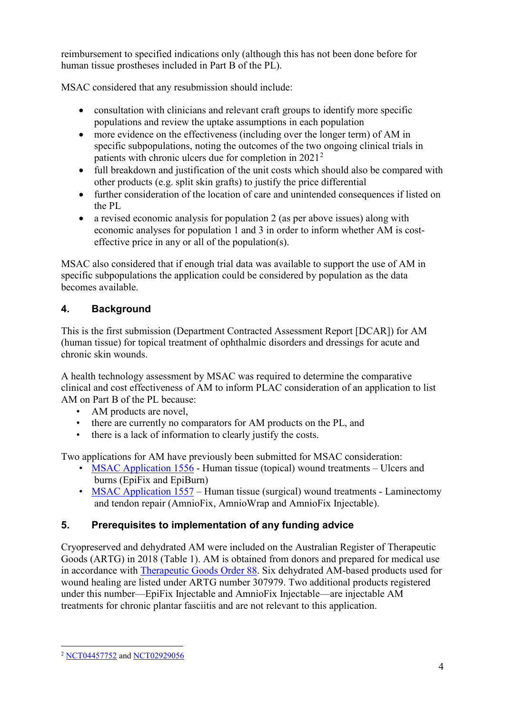reimbursement to specified indications only (although this has not been done before for human tissue prostheses included in Part B of the PL).

MSAC considered that any resubmission should include:

- consultation with clinicians and relevant craft groups to identify more specific populations and review the uptake assumptions in each population
- more evidence on the effectiveness (including over the longer term) of AM in specific subpopulations, noting the outcomes of the two ongoing clinical trials in patients with chronic ulcers due for completion in [2](#page-3-0)021<sup>2</sup>
- full breakdown and justification of the unit costs which should also be compared with other products (e.g. split skin grafts) to justify the price differential
- further consideration of the location of care and unintended consequences if listed on the PL
- a revised economic analysis for population 2 (as per above issues) along with economic analyses for population 1 and 3 in order to inform whether AM is costeffective price in any or all of the population(s).

MSAC also considered that if enough trial data was available to support the use of AM in specific subpopulations the application could be considered by population as the data becomes available.

# **4. Background**

This is the first submission (Department Contracted Assessment Report [DCAR]) for AM (human tissue) for topical treatment of ophthalmic disorders and dressings for acute and chronic skin wounds.

A health technology assessment by MSAC was required to determine the comparative clinical and cost effectiveness of AM to inform PLAC consideration of an application to list AM on Part B of the PL because:

- AM products are novel,
- there are currently no comparators for AM products on the PL, and
- there is a lack of information to clearly justify the costs.

Two applications for AM have previously been submitted for MSAC consideration:

- [MSAC Application 1556](http://www.msac.gov.au/internet/msac/publishing.nsf/Content/1556-public) Human tissue (topical) wound treatments Ulcers and burns (EpiFix and EpiBurn)
- [MSAC Application 1557](http://www.msac.gov.au/internet/msac/publishing.nsf/Content/1557-public) Human tissue (surgical) wound treatments Laminectomy and tendon repair (AmnioFix, AmnioWrap and AmnioFix Injectable).

# **5. Prerequisites to implementation of any funding advice**

Cryopreserved and dehydrated AM were included on the Australian Register of Therapeutic Goods (ARTG) in 2018 [\(Table 1\)](#page-4-0). AM is obtained from donors and prepared for medical use in accordance with [Therapeutic Goods Order 88.](https://www.legislation.gov.au/Series/F2013L00854) Six dehydrated AM-based products used for wound healing are listed under ARTG number 307979. Two additional products registered under this number—EpiFix Injectable and AmnioFix Injectable—are injectable AM treatments for chronic plantar fasciitis and are not relevant to this application.

<span id="page-3-0"></span> <sup>2</sup> [NCT04457752](https://clinicaltrials.gov/ct2/show/NCT04457752) and [NCT02929056](https://clinicaltrials.gov/ct2/show/NCT02929056)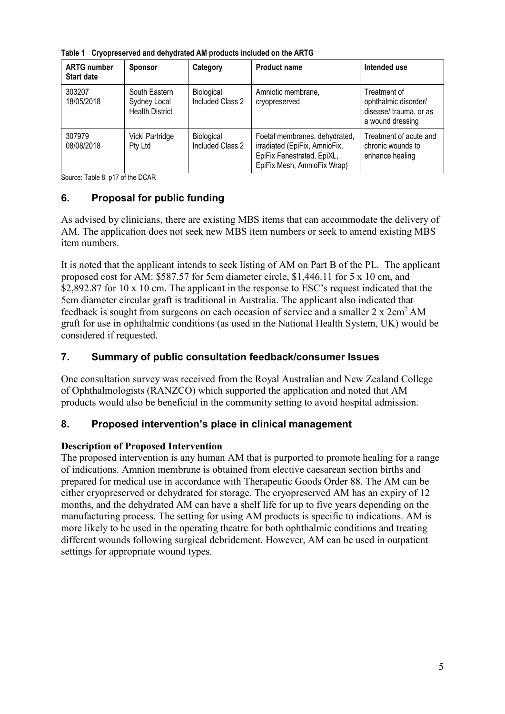<span id="page-4-0"></span>

|  | Table 1 Cryopreserved and dehydrated AM products included on the ARTG |
|--|-----------------------------------------------------------------------|
|--|-----------------------------------------------------------------------|

| <b>ARTG number</b><br><b>Start date</b> | <b>Sponsor</b>                                          | Category                       | <b>Product name</b>                                                                                                         | Intended use                                                                       |
|-----------------------------------------|---------------------------------------------------------|--------------------------------|-----------------------------------------------------------------------------------------------------------------------------|------------------------------------------------------------------------------------|
| 303207<br>18/05/2018                    | South Eastern<br>Sydney Local<br><b>Health District</b> | Biological<br>Included Class 2 | Amniotic membrane,<br>cryopreserved                                                                                         | Treatment of<br>ophthalmic disorder/<br>disease/ trauma, or as<br>a wound dressing |
| 307979<br>08/08/2018                    | Vicki Partridge<br>Pty Ltd                              | Biological<br>Included Class 2 | Foetal membranes, dehydrated,<br>irradiated (EpiFix, AmnioFix,<br>EpiFix Fenestrated, EpiXL,<br>EpiFix Mesh, AmnioFix Wrap) | Treatment of acute and<br>chronic wounds to<br>enhance healing                     |

Source: Table 8, p17 of the DCAR

# **6. Proposal for public funding**

As advised by clinicians, there are existing MBS items that can accommodate the delivery of AM. The application does not seek new MBS item numbers or seek to amend existing MBS item numbers.

It is noted that the applicant intends to seek listing of AM on Part B of the PL. The applicant proposed cost for AM: \$587.57 for 5cm diameter circle, \$1,446.11 for 5 x 10 cm, and \$2,892.87 for 10 x 10 cm. The applicant in the response to ESC's request indicated that the 5cm diameter circular graft is traditional in Australia. The applicant also indicated that feedback is sought from surgeons on each occasion of service and a smaller  $2 \times 2 \text{cm}^2$  AM graft for use in ophthalmic conditions (as used in the National Health System, UK) would be considered if requested.

# **7. Summary of public consultation feedback/consumer Issues**

One consultation survey was received from the Royal Australian and New Zealand College of Ophthalmologists (RANZCO) which supported the application and noted that AM products would also be beneficial in the community setting to avoid hospital admission.

### **8. Proposed intervention's place in clinical management**

### **Description of Proposed Intervention**

The proposed intervention is any human AM that is purported to promote healing for a range of indications. Amnion membrane is obtained from elective caesarean section births and prepared for medical use in accordance with Therapeutic Goods Order 88. The AM can be either cryopreserved or dehydrated for storage. The cryopreserved AM has an expiry of 12 months, and the dehydrated AM can have a shelf life for up to five years depending on the manufacturing process. The setting for using AM products is specific to indications. AM is more likely to be used in the operating theatre for both ophthalmic conditions and treating different wounds following surgical debridement. However, AM can be used in outpatient settings for appropriate wound types.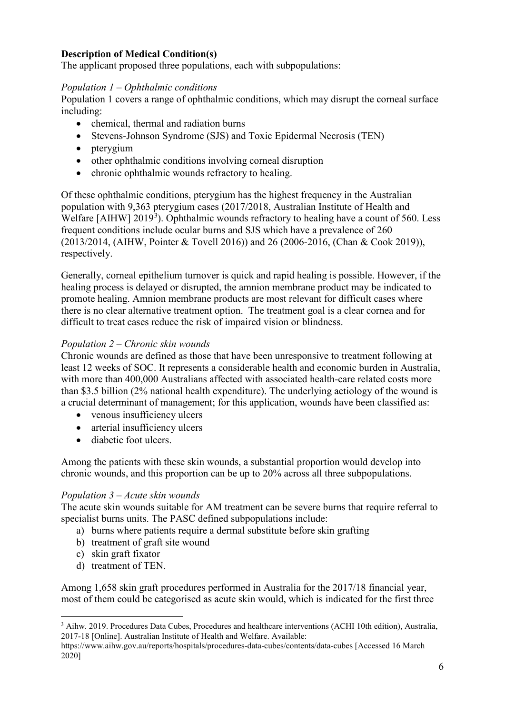#### **Description of Medical Condition(s)**

The applicant proposed three populations, each with subpopulations:

#### *Population 1 – Ophthalmic conditions*

Population 1 covers a range of ophthalmic conditions, which may disrupt the corneal surface including:

- chemical, thermal and radiation burns
- Stevens-Johnson Syndrome (SJS) and Toxic Epidermal Necrosis (TEN)
- pterygium
- other ophthalmic conditions involving corneal disruption
- chronic ophthalmic wounds refractory to healing.

Of these ophthalmic conditions, pterygium has the highest frequency in the Australian population with 9,363 pterygium cases (2017/2018, Australian Institute of Health and Welfare [AIHW]  $2019<sup>3</sup>$  $2019<sup>3</sup>$  $2019<sup>3</sup>$ ). Ophthalmic wounds refractory to healing have a count of 560. Less frequent conditions include ocular burns and SJS which have a prevalence of 260 (2013/2014, (AIHW, Pointer & Tovell 2016)) and 26 (2006-2016, (Chan & Cook 2019)), respectively.

Generally, corneal epithelium turnover is quick and rapid healing is possible. However, if the healing process is delayed or disrupted, the amnion membrane product may be indicated to promote healing. Amnion membrane products are most relevant for difficult cases where there is no clear alternative treatment option. The treatment goal is a clear cornea and for difficult to treat cases reduce the risk of impaired vision or blindness.

#### *Population 2 – Chronic skin wounds*

Chronic wounds are defined as those that have been unresponsive to treatment following at least 12 weeks of SOC. It represents a considerable health and economic burden in Australia, with more than 400,000 Australians affected with associated health-care related costs more than \$3.5 billion (2% national health expenditure). The underlying aetiology of the wound is a crucial determinant of management; for this application, wounds have been classified as:

- venous insufficiency ulcers
- arterial insufficiency ulcers
- diabetic foot ulcers.

Among the patients with these skin wounds, a substantial proportion would develop into chronic wounds, and this proportion can be up to 20% across all three subpopulations.

#### *Population 3 – Acute skin wounds*

The acute skin wounds suitable for AM treatment can be severe burns that require referral to specialist burns units. The PASC defined subpopulations include:

- a) burns where patients require a dermal substitute before skin grafting
- b) treatment of graft site wound
- c) skin graft fixator
- d) treatment of TEN.

Among 1,658 skin graft procedures performed in Australia for the 2017/18 financial year, most of them could be categorised as acute skin would, which is indicated for the first three

https://www.aihw.gov.au/reports/hospitals/procedures-data-cubes/contents/data-cubes [Accessed 16 March 2020]

<span id="page-5-0"></span> <sup>3</sup> Aihw. 2019. Procedures Data Cubes, Procedures and healthcare interventions (ACHI 10th edition), Australia, 2017-18 [Online]. Australian Institute of Health and Welfare. Available: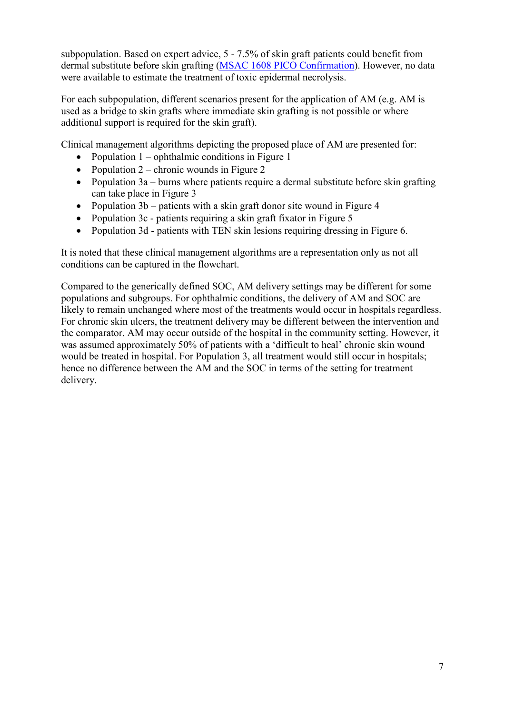subpopulation. Based on expert advice, 5 - 7.5% of skin graft patients could benefit from dermal substitute before skin grafting [\(MSAC 1608 PICO Confirmation\)](http://www.msac.gov.au/internet/msac/publishing.nsf/Content/1608-public). However, no data were available to estimate the treatment of toxic epidermal necrolysis.

For each subpopulation, different scenarios present for the application of AM (e.g. AM is used as a bridge to skin grafts where immediate skin grafting is not possible or where additional support is required for the skin graft).

Clinical management algorithms depicting the proposed place of AM are presented for:

- Population  $1$  ophthalmic conditions in [Figure 1](#page-7-0)
- Population  $2$  chronic wounds in [Figure 2](#page-8-0)
- Population 3a burns where patients require a dermal substitute before skin grafting can take place in [Figure 3](#page-9-0)
- Population 3b patients with a skin graft donor site wound in [Figure 4](#page-10-0)
- Population 3c patients requiring a skin graft fixator in [Figure 5](#page-11-0)
- Population 3d patients with TEN skin lesions requiring dressing in [Figure 6.](#page-11-1)

It is noted that these clinical management algorithms are a representation only as not all conditions can be captured in the flowchart.

Compared to the generically defined SOC, AM delivery settings may be different for some populations and subgroups. For ophthalmic conditions, the delivery of AM and SOC are likely to remain unchanged where most of the treatments would occur in hospitals regardless. For chronic skin ulcers, the treatment delivery may be different between the intervention and the comparator. AM may occur outside of the hospital in the community setting. However, it was assumed approximately 50% of patients with a 'difficult to heal' chronic skin wound would be treated in hospital. For Population 3, all treatment would still occur in hospitals; hence no difference between the AM and the SOC in terms of the setting for treatment delivery.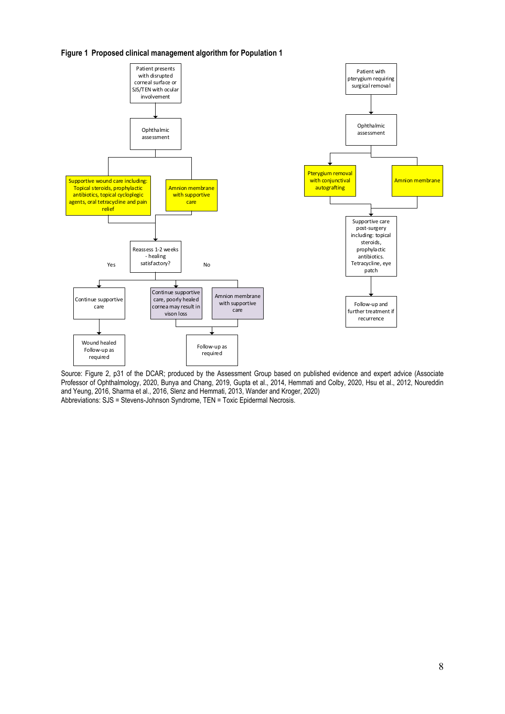<span id="page-7-0"></span>



Source: Figure 2, p31 of the DCAR; produced by the Assessment Group based on published evidence and expert advice (Associate Professor of Ophthalmology, 2020, Bunya and Chang, 2019, Gupta et al., 2014, Hemmati and Colby, 2020, Hsu et al., 2012, Noureddin and Yeung, 2016, Sharma et al., 2016, Slenz and Hemmati, 2013, Wander and Kroger, 2020) Abbreviations: SJS = Stevens-Johnson Syndrome, TEN = Toxic Epidermal Necrosis.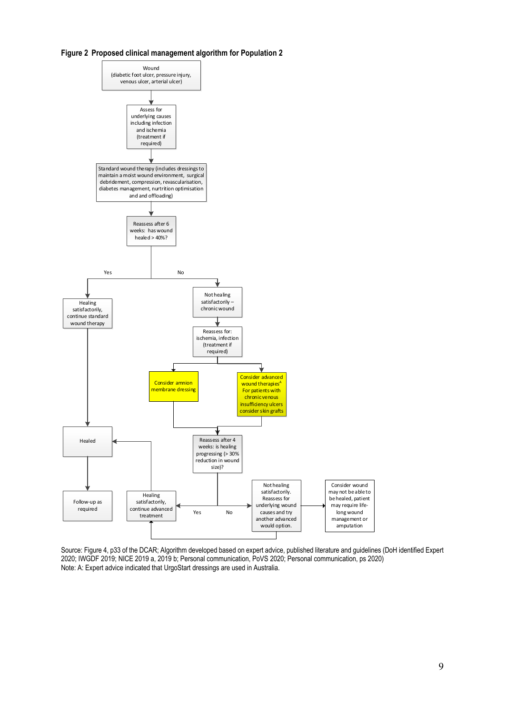<span id="page-8-0"></span>



Source: Figure 4, p33 of the DCAR; Algorithm developed based on expert advice, published literature and guidelines (DoH identified Expert 2020; IWGDF 2019; NICE 2019 a, 2019 b; Personal communication, PoVS 2020; Personal communication, ps 2020) Note: A: Expert advice indicated that UrgoStart dressings are used in Australia.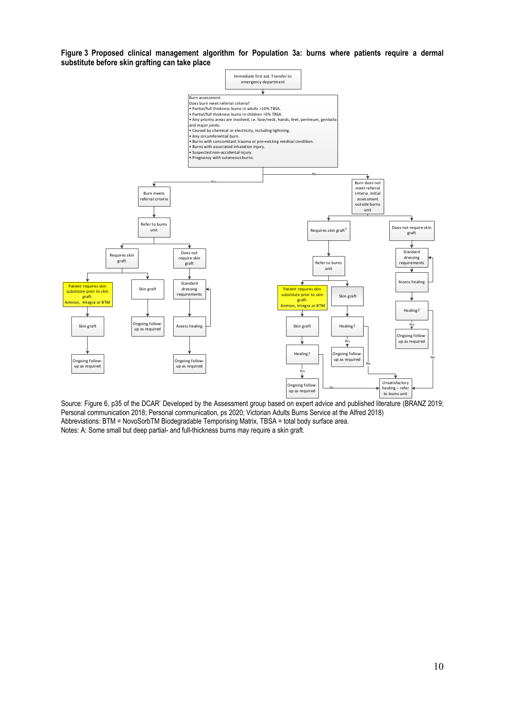<span id="page-9-0"></span>**Figure 3 Proposed clinical management algorithm for Population 3a: burns where patients require a dermal substitute before skin grafting can take place**



Source: Figure 6, p35 of the DCAR' Developed by the Assessment group based on expert advice and published literature (BRANZ 2019; Personal communication 2018; Personal communication, ps 2020; Victorian Adults Burns Service at the Alfred 2018) Abbreviations: BTM = NovoSorbTM Biodegradable Temporising Matrix, TBSA = total body surface area. Notes: A: Some small but deep partial- and full-thickness burns may require a skin graft.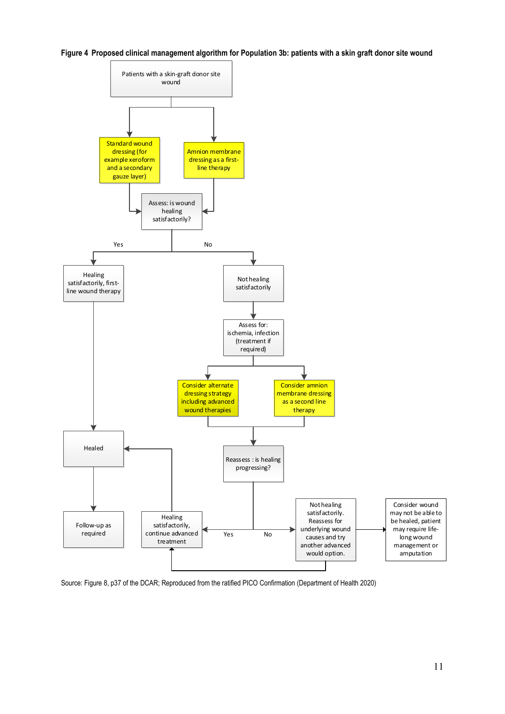<span id="page-10-0"></span>**Figure 4 Proposed clinical management algorithm for Population 3b: patients with a skin graft donor site wound**



Source: Figure 8, p37 of the DCAR; Reproduced from the ratified PICO Confirmation (Department of Health 2020)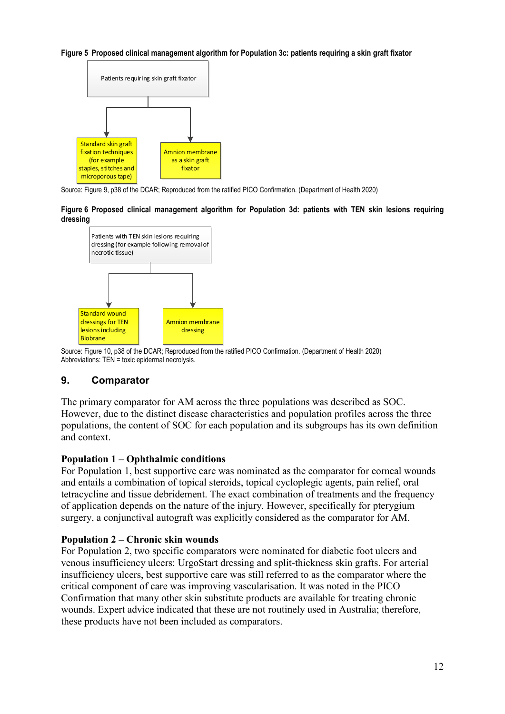#### <span id="page-11-0"></span>**Figure 5 Proposed clinical management algorithm for Population 3c: patients requiring a skin graft fixator**



<span id="page-11-1"></span>Source: Figure 9, p38 of the DCAR; Reproduced from the ratified PICO Confirmation. (Department of Health 2020)

**Figure 6 Proposed clinical management algorithm for Population 3d: patients with TEN skin lesions requiring dressing**



Source: Figure 10, p38 of the DCAR; Reproduced from the ratified PICO Confirmation. (Department of Health 2020) Abbreviations: TEN = toxic epidermal necrolysis.

#### **9. Comparator**

The primary comparator for AM across the three populations was described as SOC. However, due to the distinct disease characteristics and population profiles across the three populations, the content of SOC for each population and its subgroups has its own definition and context.

#### **Population 1 – Ophthalmic conditions**

For Population 1, best supportive care was nominated as the comparator for corneal wounds and entails a combination of topical steroids, topical cycloplegic agents, pain relief, oral tetracycline and tissue debridement. The exact combination of treatments and the frequency of application depends on the nature of the injury. However, specifically for pterygium surgery, a conjunctival autograft was explicitly considered as the comparator for AM.

#### **Population 2 – Chronic skin wounds**

For Population 2, two specific comparators were nominated for diabetic foot ulcers and venous insufficiency ulcers: UrgoStart dressing and split-thickness skin grafts. For arterial insufficiency ulcers, best supportive care was still referred to as the comparator where the critical component of care was improving vascularisation. It was noted in the PICO Confirmation that many other skin substitute products are available for treating chronic wounds. Expert advice indicated that these are not routinely used in Australia; therefore, these products have not been included as comparators.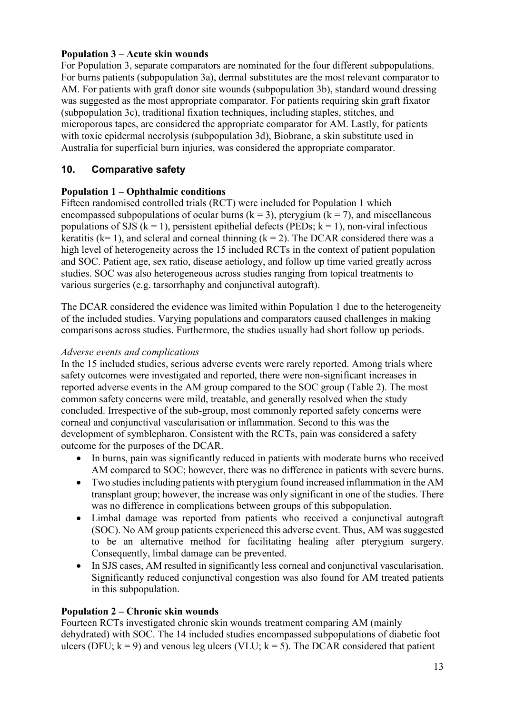### **Population 3 – Acute skin wounds**

For Population 3, separate comparators are nominated for the four different subpopulations. For burns patients (subpopulation 3a), dermal substitutes are the most relevant comparator to AM. For patients with graft donor site wounds (subpopulation 3b), standard wound dressing was suggested as the most appropriate comparator. For patients requiring skin graft fixator (subpopulation 3c), traditional fixation techniques, including staples, stitches, and microporous tapes, are considered the appropriate comparator for AM. Lastly, for patients with toxic epidermal necrolysis (subpopulation 3d), Biobrane, a skin substitute used in Australia for superficial burn injuries, was considered the appropriate comparator.

### **10. Comparative safety**

#### **Population 1 – Ophthalmic conditions**

Fifteen randomised controlled trials (RCT) were included for Population 1 which encompassed subpopulations of ocular burns ( $k = 3$ ), pterygium ( $k = 7$ ), and miscellaneous populations of SJS ( $k = 1$ ), persistent epithelial defects (PEDs;  $k = 1$ ), non-viral infectious keratitis ( $k= 1$ ), and scleral and corneal thinning ( $k = 2$ ). The DCAR considered there was a high level of heterogeneity across the 15 included RCTs in the context of patient population and SOC. Patient age, sex ratio, disease aetiology, and follow up time varied greatly across studies. SOC was also heterogeneous across studies ranging from topical treatments to various surgeries (e.g. tarsorrhaphy and conjunctival autograft).

The DCAR considered the evidence was limited within Population 1 due to the heterogeneity of the included studies. Varying populations and comparators caused challenges in making comparisons across studies. Furthermore, the studies usually had short follow up periods.

#### *Adverse events and complications*

In the 15 included studies, serious adverse events were rarely reported. Among trials where safety outcomes were investigated and reported, there were non-significant increases in reported adverse events in the AM group compared to the SOC group (Table 2). The most common safety concerns were mild, treatable, and generally resolved when the study concluded. Irrespective of the sub-group, most commonly reported safety concerns were corneal and conjunctival vascularisation or inflammation. Second to this was the development of symblepharon. Consistent with the RCTs, pain was considered a safety outcome for the purposes of the DCAR.

- In burns, pain was significantly reduced in patients with moderate burns who received AM compared to SOC; however, there was no difference in patients with severe burns.
- Two studies including patients with pterygium found increased inflammation in the AM transplant group; however, the increase was only significant in one of the studies. There was no difference in complications between groups of this subpopulation.
- Limbal damage was reported from patients who received a conjunctival autograft (SOC). No AM group patients experienced this adverse event. Thus, AM was suggested to be an alternative method for facilitating healing after pterygium surgery. Consequently, limbal damage can be prevented.
- In SJS cases, AM resulted in significantly less corneal and conjunctival vascularisation. Significantly reduced conjunctival congestion was also found for AM treated patients in this subpopulation.

#### **Population 2 – Chronic skin wounds**

Fourteen RCTs investigated chronic skin wounds treatment comparing AM (mainly dehydrated) with SOC. The 14 included studies encompassed subpopulations of diabetic foot ulcers (DFU;  $k = 9$ ) and venous leg ulcers (VLU;  $k = 5$ ). The DCAR considered that patient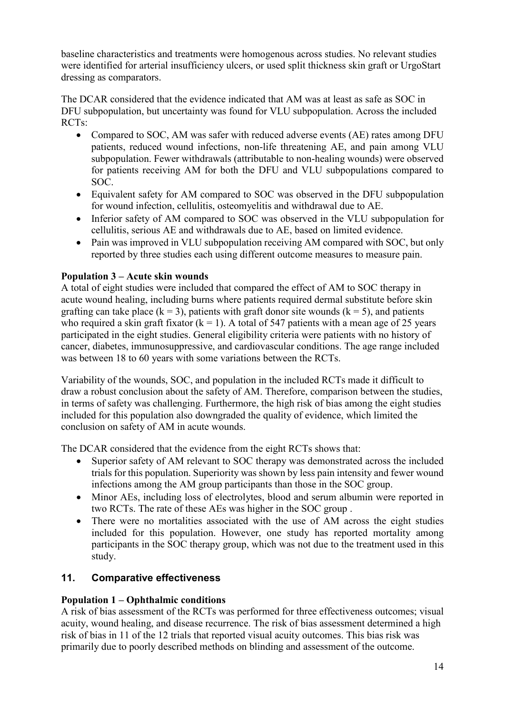baseline characteristics and treatments were homogenous across studies. No relevant studies were identified for arterial insufficiency ulcers, or used split thickness skin graft or UrgoStart dressing as comparators.

The DCAR considered that the evidence indicated that AM was at least as safe as SOC in DFU subpopulation, but uncertainty was found for VLU subpopulation. Across the included RCTs:

- Compared to SOC, AM was safer with reduced adverse events (AE) rates among DFU patients, reduced wound infections, non-life threatening AE, and pain among VLU subpopulation. Fewer withdrawals (attributable to non-healing wounds) were observed for patients receiving AM for both the DFU and VLU subpopulations compared to SOC.
- Equivalent safety for AM compared to SOC was observed in the DFU subpopulation for wound infection, cellulitis, osteomyelitis and withdrawal due to AE.
- Inferior safety of AM compared to SOC was observed in the VLU subpopulation for cellulitis, serious AE and withdrawals due to AE, based on limited evidence.
- Pain was improved in VLU subpopulation receiving AM compared with SOC, but only reported by three studies each using different outcome measures to measure pain.

### **Population 3 – Acute skin wounds**

A total of eight studies were included that compared the effect of AM to SOC therapy in acute wound healing, including burns where patients required dermal substitute before skin grafting can take place ( $k = 3$ ), patients with graft donor site wounds ( $k = 5$ ), and patients who required a skin graft fixator ( $k = 1$ ). A total of 547 patients with a mean age of 25 years participated in the eight studies. General eligibility criteria were patients with no history of cancer, diabetes, immunosuppressive, and cardiovascular conditions. The age range included was between 18 to 60 years with some variations between the RCTs.

Variability of the wounds, SOC, and population in the included RCTs made it difficult to draw a robust conclusion about the safety of AM. Therefore, comparison between the studies, in terms of safety was challenging. Furthermore, the high risk of bias among the eight studies included for this population also downgraded the quality of evidence, which limited the conclusion on safety of AM in acute wounds.

The DCAR considered that the evidence from the eight RCTs shows that:

- Superior safety of AM relevant to SOC therapy was demonstrated across the included trials for this population. Superiority was shown by less pain intensity and fewer wound infections among the AM group participants than those in the SOC group.
- Minor AEs, including loss of electrolytes, blood and serum albumin were reported in two RCTs. The rate of these AEs was higher in the SOC group .
- There were no mortalities associated with the use of AM across the eight studies included for this population. However, one study has reported mortality among participants in the SOC therapy group, which was not due to the treatment used in this study.

### **11. Comparative effectiveness**

#### **Population 1 – Ophthalmic conditions**

A risk of bias assessment of the RCTs was performed for three effectiveness outcomes; visual acuity, wound healing, and disease recurrence. The risk of bias assessment determined a high risk of bias in 11 of the 12 trials that reported visual acuity outcomes. This bias risk was primarily due to poorly described methods on blinding and assessment of the outcome.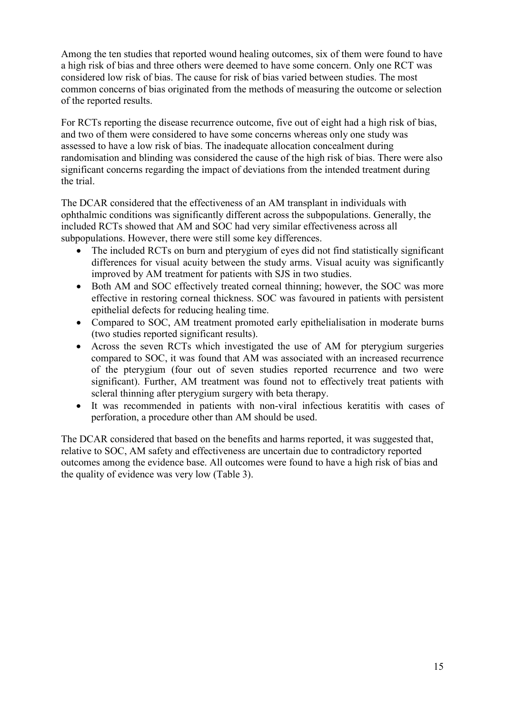Among the ten studies that reported wound healing outcomes, six of them were found to have a high risk of bias and three others were deemed to have some concern. Only one RCT was considered low risk of bias. The cause for risk of bias varied between studies. The most common concerns of bias originated from the methods of measuring the outcome or selection of the reported results.

For RCTs reporting the disease recurrence outcome, five out of eight had a high risk of bias, and two of them were considered to have some concerns whereas only one study was assessed to have a low risk of bias. The inadequate allocation concealment during randomisation and blinding was considered the cause of the high risk of bias. There were also significant concerns regarding the impact of deviations from the intended treatment during the trial.

The DCAR considered that the effectiveness of an AM transplant in individuals with ophthalmic conditions was significantly different across the subpopulations. Generally, the included RCTs showed that AM and SOC had very similar effectiveness across all subpopulations. However, there were still some key differences.

- The included RCTs on burn and pterygium of eyes did not find statistically significant differences for visual acuity between the study arms. Visual acuity was significantly improved by AM treatment for patients with SJS in two studies.
- Both AM and SOC effectively treated corneal thinning; however, the SOC was more effective in restoring corneal thickness. SOC was favoured in patients with persistent epithelial defects for reducing healing time.
- Compared to SOC, AM treatment promoted early epithelialisation in moderate burns (two studies reported significant results).
- Across the seven RCTs which investigated the use of AM for pterygium surgeries compared to SOC, it was found that AM was associated with an increased recurrence of the pterygium (four out of seven studies reported recurrence and two were significant). Further, AM treatment was found not to effectively treat patients with scleral thinning after pterygium surgery with beta therapy.
- <span id="page-14-0"></span>• It was recommended in patients with non-viral infectious keratitis with cases of perforation, a procedure other than AM should be used.

The DCAR considered that based on the benefits and harms reported, it was suggested that, relative to SOC, AM safety and effectiveness are uncertain due to contradictory reported outcomes among the evidence base. All outcomes were found to have a high risk of bias and the quality of evidence was very low [\(Table 3\)](#page-14-0).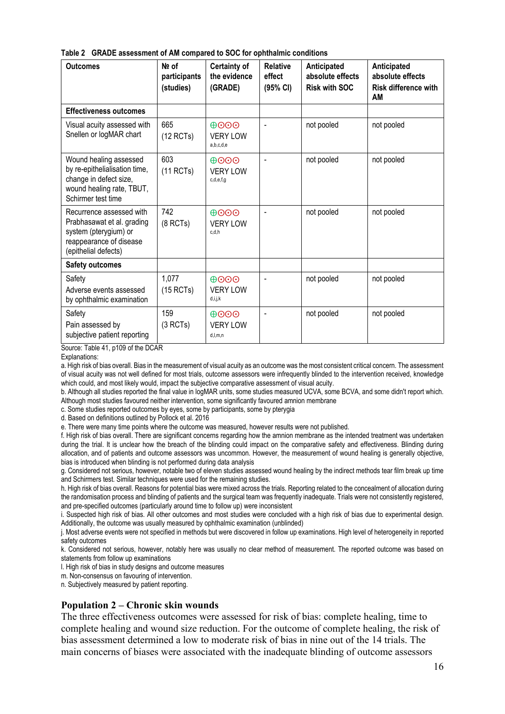|  | Table 2 GRADE assessment of AM compared to SOC for ophthalmic conditions |  |  |  |
|--|--------------------------------------------------------------------------|--|--|--|
|--|--------------------------------------------------------------------------|--|--|--|

| <b>Outcomes</b>                                                                                                                      | Nº of<br>participants<br>(studies) | <b>Certainty of</b><br>the evidence<br>(GRADE) | <b>Relative</b><br>effect<br>(95% CI) | Anticipated<br>absolute effects<br><b>Risk with SOC</b> | Anticipated<br>absolute effects<br><b>Risk difference with</b><br>AM |
|--------------------------------------------------------------------------------------------------------------------------------------|------------------------------------|------------------------------------------------|---------------------------------------|---------------------------------------------------------|----------------------------------------------------------------------|
| <b>Effectiveness outcomes</b>                                                                                                        |                                    |                                                |                                       |                                                         |                                                                      |
| Visual acuity assessed with<br>Snellen or logMAR chart                                                                               | 665<br>$(12$ RCTs)                 | $\Theta$ OOO<br><b>VERY LOW</b><br>a,b,c,d,e   |                                       | not pooled                                              | not pooled                                                           |
| Wound healing assessed<br>by re-epithelialisation time,<br>change in defect size,<br>wound healing rate, TBUT,<br>Schirmer test time | 603<br>(11 RCTs)                   | $\oplus$ OO<br><b>VERY LOW</b><br>c,d,e,f,g    |                                       | not pooled                                              | not pooled                                                           |
| Recurrence assessed with<br>Prabhasawat et al. grading<br>system (pterygium) or<br>reappearance of disease<br>(epithelial defects)   | 742<br>(8 RCTs)                    | $\oplus$ OO<br><b>VERY LOW</b><br>c.d.h        |                                       | not pooled                                              | not pooled                                                           |
| <b>Safety outcomes</b>                                                                                                               |                                    |                                                |                                       |                                                         |                                                                      |
| Safety<br>Adverse events assessed<br>by ophthalmic examination                                                                       | 1,077<br>$(15$ RCTs)               | $\Theta$ OOO<br><b>VERY LOW</b><br>d,i,j,k     |                                       | not pooled                                              | not pooled                                                           |
| Safety<br>Pain assessed by<br>subjective patient reporting                                                                           | 159<br>(3 RCTs)                    | $\oplus$ OO<br><b>VERY LOW</b><br>d, l, m, n   |                                       | not pooled                                              | not pooled                                                           |

Source: Table 41, p109 of the DCAR

Explanations:

a. High risk of bias overall. Bias in the measurement of visual acuity as an outcome was the most consistent critical concern. The assessment of visual acuity was not well defined for most trials, outcome assessors were infrequently blinded to the intervention received, knowledge which could, and most likely would, impact the subjective comparative assessment of visual acuity.

b. Although all studies reported the final value in logMAR units, some studies measured UCVA, some BCVA, and some didn't report which. Although most studies favoured neither intervention, some significantly favoured amnion membrane

c. Some studies reported outcomes by eyes, some by participants, some by pterygia

d. Based on definitions outlined by Pollock et al. 2016

e. There were many time points where the outcome was measured, however results were not published.

f. High risk of bias overall. There are significant concerns regarding how the amnion membrane as the intended treatment was undertaken during the trial. It is unclear how the breach of the blinding could impact on the comparative safety and effectiveness. Blinding during allocation, and of patients and outcome assessors was uncommon. However, the measurement of wound healing is generally objective, bias is introduced when blinding is not performed during data analysis

g. Considered not serious, however, notable two of eleven studies assessed wound healing by the indirect methods tear film break up time and Schirmers test. Similar techniques were used for the remaining studies.

h. High risk of bias overall. Reasons for potential bias were mixed across the trials. Reporting related to the concealment of allocation during the randomisation process and blinding of patients and the surgical team was frequently inadequate. Trials were not consistently registered, and pre-specified outcomes (particularly around time to follow up) were inconsistent

i. Suspected high risk of bias. All other outcomes and most studies were concluded with a high risk of bias due to experimental design. Additionally, the outcome was usually measured by ophthalmic examination (unblinded)

j. Most adverse events were not specified in methods but were discovered in follow up examinations. High level of heterogeneity in reported safety outcomes

k. Considered not serious, however, notably here was usually no clear method of measurement. The reported outcome was based on statements from follow up examinations

l. High risk of bias in study designs and outcome measures

m. Non-consensus on favouring of intervention.

n. Subjectively measured by patient reporting.

#### **Population 2 – Chronic skin wounds**

The three effectiveness outcomes were assessed for risk of bias: complete healing, time to complete healing and wound size reduction. For the outcome of complete healing, the risk of bias assessment determined a low to moderate risk of bias in nine out of the 14 trials. The main concerns of biases were associated with the inadequate blinding of outcome assessors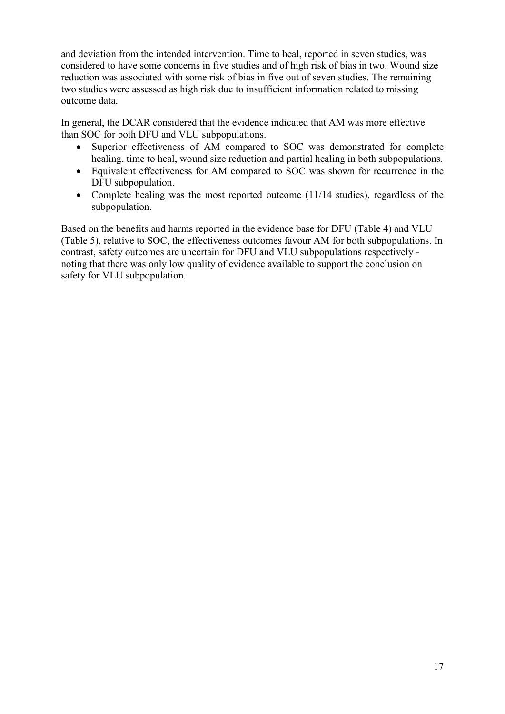and deviation from the intended intervention. Time to heal, reported in seven studies, was considered to have some concerns in five studies and of high risk of bias in two. Wound size reduction was associated with some risk of bias in five out of seven studies. The remaining two studies were assessed as high risk due to insufficient information related to missing outcome data.

In general, the DCAR considered that the evidence indicated that AM was more effective than SOC for both DFU and VLU subpopulations.

- Superior effectiveness of AM compared to SOC was demonstrated for complete healing, time to heal, wound size reduction and partial healing in both subpopulations.
- Equivalent effectiveness for AM compared to SOC was shown for recurrence in the DFU subpopulation.
- <span id="page-16-0"></span>• Complete healing was the most reported outcome (11/14 studies), regardless of the subpopulation.

Based on the benefits and harms reported in the evidence base for DFU [\(Table 4\)](#page-16-0) and VLU [\(Table 5\)](#page-17-0), relative to SOC, the effectiveness outcomes favour AM for both subpopulations. In contrast, safety outcomes are uncertain for DFU and VLU subpopulations respectively noting that there was only low quality of evidence available to support the conclusion on safety for VLU subpopulation.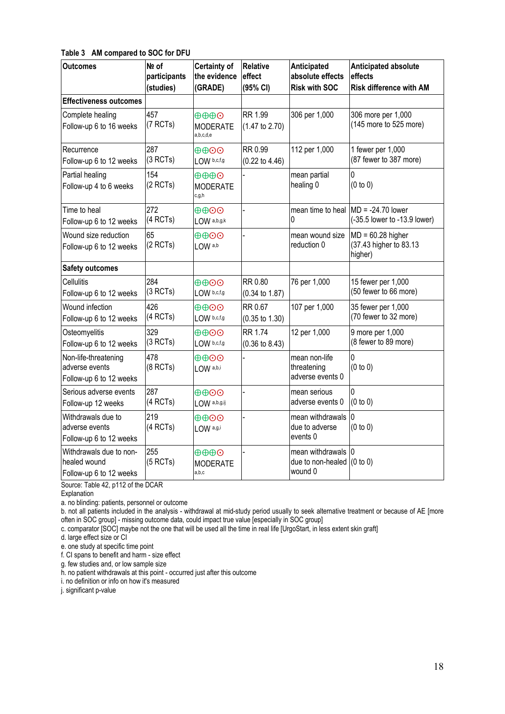#### **Table 3 AM compared to SOC for DFU**

| <b>Outcomes</b>                                                    | Nº of<br>participants<br>(studies) | <b>Certainty of</b><br>the evidence<br>(GRADE)           | Relative<br>effect<br>(95% CI)              | Anticipated<br>absolute effects<br><b>Risk with SOC</b> | <b>Anticipated absolute</b><br>effects<br><b>Risk difference with AM</b> |
|--------------------------------------------------------------------|------------------------------------|----------------------------------------------------------|---------------------------------------------|---------------------------------------------------------|--------------------------------------------------------------------------|
| <b>Effectiveness outcomes</b>                                      |                                    |                                                          |                                             |                                                         |                                                                          |
| Complete healing<br>Follow-up 6 to 16 weeks                        | 457<br>(7 RCTs)                    | ⊕⊕⊕⊙<br><b>MODERATE</b><br>a,b,c,d,e                     | RR 1.99<br>$(1.47 \text{ to } 2.70)$        | 306 per 1,000                                           | 306 more per 1,000<br>(145 more to 525 more)                             |
| Recurrence<br>Follow-up 6 to 12 weeks                              | 287<br>(3 RCTs)                    | $\oplus\oplus\odot$<br>LOW b,c,f,g                       | RR 0.99<br>$(0.22 \text{ to } 4.46)$        | 112 per 1,000                                           | 1 fewer per 1,000<br>(87 fewer to 387 more)                              |
| Partial healing<br>Follow-up 4 to 6 weeks                          | 154<br>(2 RCTs)                    | $\oplus \oplus \oplus \odot$<br><b>MODERATE</b><br>c,g,h |                                             | mean partial<br>healing 0                               | 0<br>(0 to 0)                                                            |
| Time to heal<br>Follow-up 6 to 12 weeks                            | 272<br>(4 RCTs)                    | $\oplus\oplus\odot$<br>$LOW$ a,b,g,k                     |                                             | U                                                       | mean time to heal MD = -24.70 lower<br>(-35.5 lower to -13.9 lower)      |
| Wound size reduction<br>Follow-up 6 to 12 weeks                    | 65<br>(2 RCTs)                     | $\oplus\oplus\odot$<br>LOW a,b                           |                                             | mean wound size<br>reduction 0                          | $MD = 60.28$ higher<br>(37.43 higher to 83.13<br>higher)                 |
| <b>Safety outcomes</b>                                             |                                    |                                                          |                                             |                                                         |                                                                          |
| Cellulitis<br>Follow-up 6 to 12 weeks                              | 284<br>(3 RCTs)                    | $\oplus \oplus \odot \odot$<br>LOW b,c,f,g               | RR 0.80<br>$(0.34 \text{ to } 1.87)$        | 76 per 1,000                                            | 15 fewer per 1,000<br>(50 fewer to 66 more)                              |
| Wound infection<br>Follow-up 6 to 12 weeks                         | 426<br>(4 RCTs)                    | $\oplus\oplus\odot$<br>LOW b,c,f,g                       | RR 0.67<br>$(0.35 \text{ to } 1.30)$        | 107 per 1,000                                           | 35 fewer per 1,000<br>(70 fewer to 32 more)                              |
| Osteomyelitis<br>Follow-up 6 to 12 weeks                           | 329<br>(3 RCTs)                    | $\oplus \oplus \odot \odot$<br>LOW b,c,f,g               | <b>RR 1.74</b><br>$(0.36 \text{ to } 8.43)$ | 12 per 1,000                                            | 9 more per 1,000<br>(8 fewer to 89 more)                                 |
| Non-life-threatening<br>adverse events<br>Follow-up 6 to 12 weeks  | 478<br>(8 RCTs)                    | $\oplus\oplus\odot$<br>LOW a,b,i                         |                                             | mean non-life<br>threatening<br>adverse events 0        | 0<br>(0 to 0)                                                            |
| Serious adverse events<br>Follow-up 12 weeks                       | 287<br>(4 RCTs)                    | $\oplus\oplus\odot$<br>LOW a,b,g,ij                      |                                             | mean serious<br>adverse events 0                        | 0<br>(0 to 0)                                                            |
| Withdrawals due to<br>adverse events<br>Follow-up 6 to 12 weeks    | 219<br>(4 RCTs)                    | $\oplus \oplus \odot \odot$<br>LOW a,g,i                 |                                             | mean withdrawals<br>due to adverse<br>events 0          | 0<br>(0 to 0)                                                            |
| Withdrawals due to non-<br>healed wound<br>Follow-up 6 to 12 weeks | 255<br>(5 RCTs)                    | $\oplus \oplus \oplus \odot$<br><b>MODERATE</b><br>a,b,c |                                             | mean withdrawals<br>due to non-healed<br>wound 0        | 0<br>(0 to 0)                                                            |

Source: Table 42, p112 of the DCAR

Explanation

a. no blinding: patients, personnel or outcome

b. not all patients included in the analysis - withdrawal at mid-study period usually to seek alternative treatment or because of AE [more often in SOC group] - missing outcome data, could impact true value [especially in SOC group]

c. comparator [SOC] maybe not the one that will be used all the time in real life [UrgoStart, in less extent skin graft]

d. large effect size or CI

e. one study at specific time point

f. CI spans to benefit and harm - size effect

g. few studies and, or low sample size

h. no patient withdrawals at this point - occurred just after this outcome

i. no definition or info on how it's measured

<span id="page-17-0"></span>j. significant p-value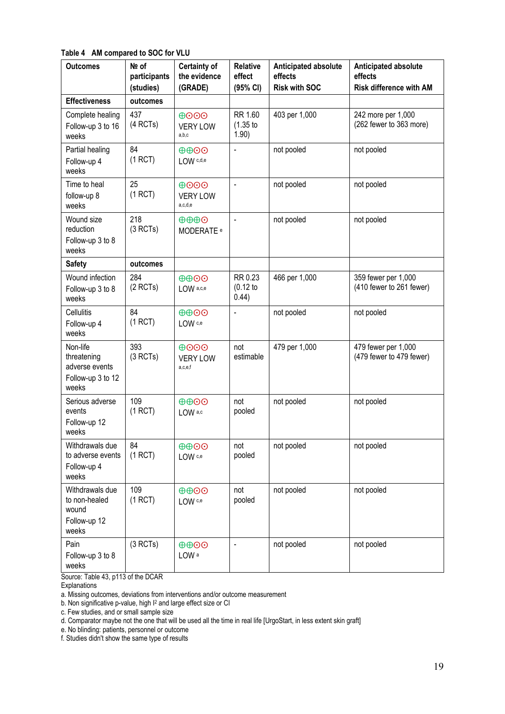**Table 4 AM compared to SOC for VLU**

| <b>Outcomes</b>                                                         | Nº of<br>participants<br>(studies) | <b>Certainty of</b><br>the evidence<br>(GRADE)        | <b>Relative</b><br>effect<br>(95% CI) | <b>Anticipated absolute</b><br>effects<br><b>Risk with SOC</b> | Anticipated absolute<br>effects<br><b>Risk difference with AM</b> |
|-------------------------------------------------------------------------|------------------------------------|-------------------------------------------------------|---------------------------------------|----------------------------------------------------------------|-------------------------------------------------------------------|
| <b>Effectiveness</b>                                                    | outcomes                           |                                                       |                                       |                                                                |                                                                   |
| Complete healing<br>Follow-up 3 to 16<br>weeks                          | 437<br>(4 RCTs)                    | $\oplus$ OO<br><b>VERY LOW</b><br>a,b,c               | RR 1.60<br>(1.35)<br>1.90)            | 403 per 1,000                                                  | 242 more per 1,000<br>(262 fewer to 363 more)                     |
| Partial healing<br>Follow-up 4<br>weeks                                 | 84<br>(1 RCT)                      | $\oplus$ $\oplus$ $\odot$<br>LOW c,d,e                | $\blacksquare$                        | not pooled                                                     | not pooled                                                        |
| Time to heal<br>follow-up 8<br>weeks                                    | 25<br>(1 RCT)                      | $\Theta$ OOO<br><b>VERY LOW</b><br>a,c,d,e            | $\qquad \qquad \blacksquare$          | not pooled                                                     | not pooled                                                        |
| Wound size<br>reduction<br>Follow-up 3 to 8<br>weeks                    | 218<br>(3 RCTs)                    | $\oplus \oplus \oplus \odot$<br>MODERATE <sup>e</sup> | $\blacksquare$                        | not pooled                                                     | not pooled                                                        |
| <b>Safety</b>                                                           | outcomes                           |                                                       |                                       |                                                                |                                                                   |
| Wound infection<br>Follow-up 3 to 8<br>weeks                            | 284<br>(2 RCTs)                    | $\oplus$ $\oplus$ $\odot$<br>LOW a,c,e                | RR 0.23<br>$(0.12$ to<br>0.44)        | 466 per 1,000                                                  | 359 fewer per 1,000<br>(410 fewer to 261 fewer)                   |
| Cellulitis<br>Follow-up 4<br>weeks                                      | 84<br>(1 RCT)                      | $\oplus$ $\oplus$ $\odot$<br>LOW c,e                  |                                       | not pooled                                                     | not pooled                                                        |
| Non-life<br>threatening<br>adverse events<br>Follow-up 3 to 12<br>weeks | 393<br>(3 RCTs)                    | $\Theta$ OOO<br><b>VERY LOW</b><br>a,c,e,f            | not<br>estimable                      | 479 per 1,000                                                  | 479 fewer per 1,000<br>(479 fewer to 479 fewer)                   |
| Serious adverse<br>events<br>Follow-up 12<br>weeks                      | 109<br>(1 RCT)                     | $\oplus$ $\oplus$ $\odot$<br>LOW a,c                  | not<br>pooled                         | not pooled                                                     | not pooled                                                        |
| Withdrawals due<br>to adverse events<br>Follow-up 4<br>weeks            | 84<br>(1 RCT)                      | $\oplus$ $\oplus$<br>LOW <sub>c,e</sub>               | not<br>pooled                         | not pooled                                                     | not pooled                                                        |
| Withdrawals due<br>to non-healed<br>wound<br>Follow-up 12<br>weeks      | 109<br>(1 RCT)                     | $\oplus$ $\oplus$ $\odot$<br>LOW c,e                  | not<br>pooled                         | not pooled                                                     | not pooled                                                        |
| Pain<br>Follow-up 3 to 8<br>weeks                                       | (3 RCTs)                           | $\oplus$ $\oplus$ $\odot$<br>LOW <sup>a</sup>         | $\blacksquare$                        | not pooled                                                     | not pooled                                                        |

Source: Table 43, p113 of the DCAR

Explanations

a. Missing outcomes, deviations from interventions and/or outcome measurement

b. Non significative p-value, high  $1^2$  and large effect size or CI

c. Few studies, and or small sample size

d. Comparator maybe not the one that will be used all the time in real life [UrgoStart, in less extent skin graft]

e. No blinding: patients, personnel or outcome

f. Studies didn't show the same type of results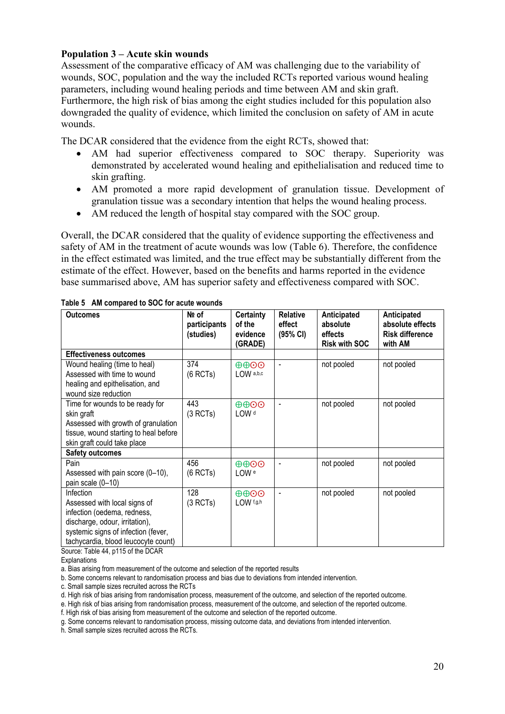#### **Population 3 – Acute skin wounds**

Assessment of the comparative efficacy of AM was challenging due to the variability of wounds, SOC, population and the way the included RCTs reported various wound healing parameters, including wound healing periods and time between AM and skin graft. Furthermore, the high risk of bias among the eight studies included for this population also downgraded the quality of evidence, which limited the conclusion on safety of AM in acute wounds.

The DCAR considered that the evidence from the eight RCTs, showed that:

- AM had superior effectiveness compared to SOC therapy. Superiority was demonstrated by accelerated wound healing and epithelialisation and reduced time to skin grafting.
- AM promoted a more rapid development of granulation tissue. Development of granulation tissue was a secondary intention that helps the wound healing process.
- AM reduced the length of hospital stay compared with the SOC group.

Overall, the DCAR considered that the quality of evidence supporting the effectiveness and safety of AM in the treatment of acute wounds was low [\(Table 6\)](#page-19-0). Therefore, the confidence in the effect estimated was limited, and the true effect may be substantially different from the estimate of the effect. However, based on the benefits and harms reported in the evidence base summarised above, AM has superior safety and effectiveness compared with SOC.

| <b>Outcomes</b>                                                                                                                                                                                                                                            | Nº of<br>participants<br>(studies) | <b>Certainty</b><br>of the<br>evidence<br>(GRADE) | <b>Relative</b><br>effect<br>(95% CI) | Anticipated<br>absolute<br>effects<br><b>Risk with SOC</b> | Anticipated<br>absolute effects<br><b>Risk difference</b><br>with AM |
|------------------------------------------------------------------------------------------------------------------------------------------------------------------------------------------------------------------------------------------------------------|------------------------------------|---------------------------------------------------|---------------------------------------|------------------------------------------------------------|----------------------------------------------------------------------|
| <b>Effectiveness outcomes</b>                                                                                                                                                                                                                              |                                    |                                                   |                                       |                                                            |                                                                      |
| Wound healing (time to heal)<br>Assessed with time to wound<br>healing and epithelisation, and<br>wound size reduction                                                                                                                                     | 374<br>(6 RCTs)                    | $\oplus$ $\oplus$ $\odot$<br>LOW a,b,c            | $\overline{\phantom{a}}$              | not pooled                                                 | not pooled                                                           |
| Time for wounds to be ready for<br>skin graft<br>Assessed with growth of granulation<br>tissue, wound starting to heal before<br>skin graft could take place                                                                                               | 443<br>(3 RCTs)                    | $\oplus\oplus\odot$<br>LOW <sup>d</sup>           | $\overline{\phantom{a}}$              | not pooled                                                 | not pooled                                                           |
| <b>Safety outcomes</b>                                                                                                                                                                                                                                     |                                    |                                                   |                                       |                                                            |                                                                      |
| Pain<br>Assessed with pain score (0-10),<br>pain scale (0-10)                                                                                                                                                                                              | 456<br>(6 RCTs)                    | $\oplus$ $\oplus$ $\odot$<br>LOW <sup>e</sup>     | $\overline{\phantom{a}}$              | not pooled                                                 | not pooled                                                           |
| Infection<br>Assessed with local signs of<br>infection (oedema, redness,<br>discharge, odour, irritation),<br>systemic signs of infection (fever,<br>tachycardia, blood leucocyte count)<br>$O_{\text{e}, \text{max}}$ , Table $AA$ , a $AA$ E af the DOAD | 128<br>(3 RCTs)                    | $\oplus$ $\oplus$ $\odot$<br>LOW f,g,h            |                                       | not pooled                                                 | not pooled                                                           |

<span id="page-19-0"></span>**Table 5 AM compared to SOC for acute wounds**

Source: Table 44, p115 of the DCAR

**Explanations** 

a. Bias arising from measurement of the outcome and selection of the reported results

b. Some concerns relevant to randomisation process and bias due to deviations from intended intervention.

c. Small sample sizes recruited across the RCTs

d. High risk of bias arising from randomisation process, measurement of the outcome, and selection of the reported outcome.

e. High risk of bias arising from randomisation process, measurement of the outcome, and selection of the reported outcome.

f. High risk of bias arising from measurement of the outcome and selection of the reported outcome.

g. Some concerns relevant to randomisation process, missing outcome data, and deviations from intended intervention.

h. Small sample sizes recruited across the RCTs.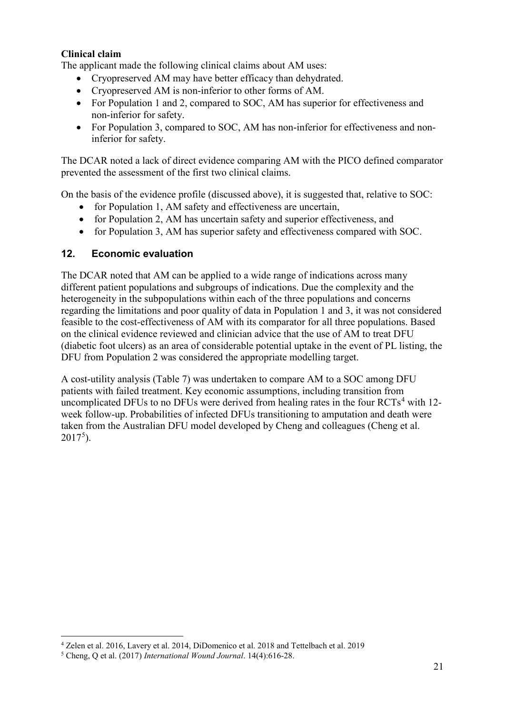### **Clinical claim**

The applicant made the following clinical claims about AM uses:

- Cryopreserved AM may have better efficacy than dehydrated.
- Cryopreserved AM is non-inferior to other forms of AM.
- For Population 1 and 2, compared to SOC, AM has superior for effectiveness and non-inferior for safety.
- For Population 3, compared to SOC, AM has non-inferior for effectiveness and noninferior for safety.

The DCAR noted a lack of direct evidence comparing AM with the PICO defined comparator prevented the assessment of the first two clinical claims.

On the basis of the evidence profile (discussed above), it is suggested that, relative to SOC:

- for Population 1, AM safety and effectiveness are uncertain,
- for Population 2, AM has uncertain safety and superior effectiveness, and
- for Population 3, AM has superior safety and effectiveness compared with SOC.

#### **12. Economic evaluation**

The DCAR noted that AM can be applied to a wide range of indications across many different patient populations and subgroups of indications. Due the complexity and the heterogeneity in the subpopulations within each of the three populations and concerns regarding the limitations and poor quality of data in Population 1 and 3, it was not considered feasible to the cost-effectiveness of AM with its comparator for all three populations. Based on the clinical evidence reviewed and clinician advice that the use of AM to treat DFU (diabetic foot ulcers) as an area of considerable potential uptake in the event of PL listing, the DFU from Population 2 was considered the appropriate modelling target.

<span id="page-20-0"></span>A cost-utility analysis [\(Table 7\)](#page-20-0) was undertaken to compare AM to a SOC among DFU patients with failed treatment. Key economic assumptions, including transition from uncomplicated DFUs to no DFUs were derived from healing rates in the four  $\text{RCTs}^4$  $\text{RCTs}^4$  with 12week follow-up. Probabilities of infected DFUs transitioning to amputation and death were taken from the Australian DFU model developed by Cheng and colleagues (Cheng et al.  $2017^5$  $2017^5$ ).

<span id="page-20-1"></span> <sup>4</sup> Zelen et al. 2016, Lavery et al. 2014, DiDomenico et al. 2018 and Tettelbach et al. 2019

<span id="page-20-2"></span><sup>5</sup> Cheng, Q et al. (2017) *International Wound Journal*. 14(4):616-28.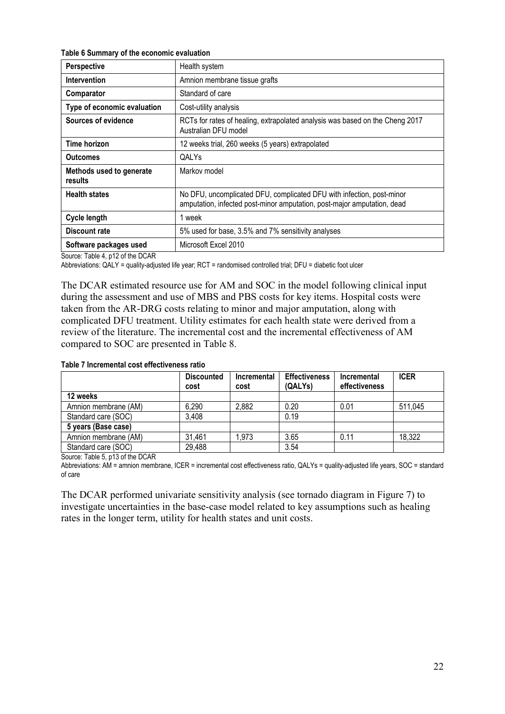**Table 6 Summary of the economic evaluation** 

| Perspective                         | Health system                                                                                                                                    |
|-------------------------------------|--------------------------------------------------------------------------------------------------------------------------------------------------|
| <b>Intervention</b>                 | Amnion membrane tissue grafts                                                                                                                    |
| Comparator                          | Standard of care                                                                                                                                 |
| Type of economic evaluation         | Cost-utility analysis                                                                                                                            |
| Sources of evidence                 | RCTs for rates of healing, extrapolated analysis was based on the Cheng 2017<br>Australian DFU model                                             |
| Time horizon                        | 12 weeks trial, 260 weeks (5 years) extrapolated                                                                                                 |
| <b>Outcomes</b>                     | QALYs                                                                                                                                            |
| Methods used to generate<br>results | Markov model                                                                                                                                     |
| <b>Health states</b>                | No DFU, uncomplicated DFU, complicated DFU with infection, post-minor<br>amputation, infected post-minor amputation, post-major amputation, dead |
| <b>Cycle length</b>                 | 1 week                                                                                                                                           |
| Discount rate                       | 5% used for base, 3.5% and 7% sensitivity analyses                                                                                               |
| Software packages used              | Microsoft Excel 2010                                                                                                                             |

Source: Table 4, p12 of the DCAR

Abbreviations: QALY = quality-adjusted life year; RCT = randomised controlled trial; DFU = diabetic foot ulcer

The DCAR estimated resource use for AM and SOC in the model following clinical input during the assessment and use of MBS and PBS costs for key items. Hospital costs were taken from the AR-DRG costs relating to minor and major amputation, along with complicated DFU treatment. Utility estimates for each health state were derived from a review of the literature. The incremental cost and the incremental effectiveness of AM compared to SOC are presented in [Table 8.](#page-21-0)

<span id="page-21-0"></span>

| Table 7 Incremental cost effectiveness ratio |  |
|----------------------------------------------|--|
|----------------------------------------------|--|

|                      | <b>Discounted</b><br>cost | <b>Incremental</b><br>cost | <b>Effectiveness</b><br>(QALYs) | Incremental<br>effectiveness | <b>ICER</b> |
|----------------------|---------------------------|----------------------------|---------------------------------|------------------------------|-------------|
| 12 weeks             |                           |                            |                                 |                              |             |
| Amnion membrane (AM) | 6,290                     | 2,882                      | 0.20                            | 0.01                         | 511,045     |
| Standard care (SOC)  | 3,408                     |                            | 0.19                            |                              |             |
| 5 years (Base case)  |                           |                            |                                 |                              |             |
| Amnion membrane (AM) | 31,461                    | 1,973                      | 3.65                            | 0.11                         | 18,322      |
| Standard care (SOC)  | 29,488                    |                            | 3.54                            |                              |             |

Source: Table 5, p13 of the DCAR

Abbreviations: AM = amnion membrane, ICER = incremental cost effectiveness ratio, QALYs = quality-adjusted life years, SOC = standard of care

The DCAR performed univariate sensitivity analysis (see tornado diagram in [Figure 7\)](#page-22-0) to investigate uncertainties in the base-case model related to key assumptions such as healing rates in the longer term, utility for health states and unit costs.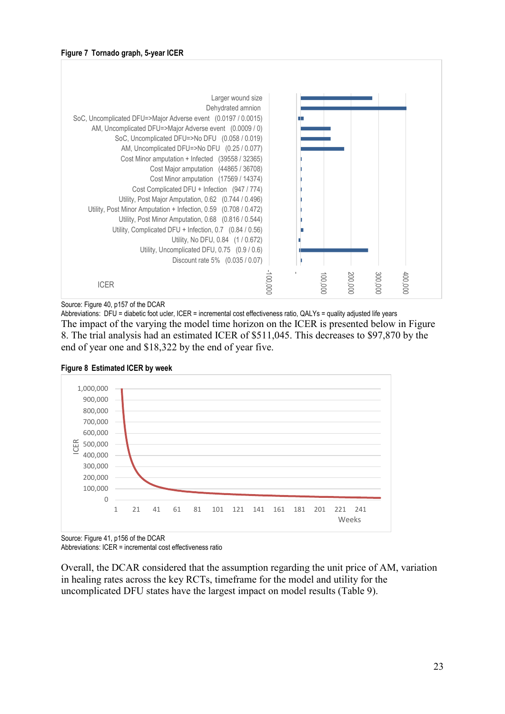<span id="page-22-0"></span>

Source: Figure 40, p157 of the DCAR

Abbreviations: DFU = diabetic foot ucler, ICER = incremental cost effectiveness ratio, QALYs = quality adjusted life years The impact of the varying the model time horizon on the ICER is presented below in [Figure](#page-22-1)  [8.](#page-22-1) The trial analysis had an estimated ICER of \$511,045. This decreases to \$97,870 by the end of year one and \$18,322 by the end of year five.



<span id="page-22-1"></span>

Source: Figure 41, p156 of the DCAR

Abbreviations: ICER = incremental cost effectiveness ratio

Overall, the DCAR considered that the assumption regarding the unit price of AM, variation in healing rates across the key RCTs, timeframe for the model and utility for the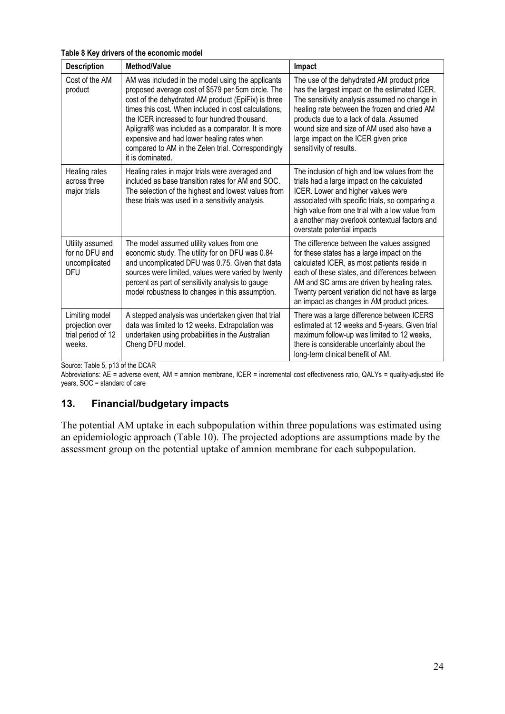<span id="page-23-0"></span>**Table 8 Key drivers of the economic model**

| <b>Description</b>                                                | Method/Value                                                                                                                                                                                                                                                                                                                                                                                                                                         | Impact                                                                                                                                                                                                                                                                                                                                                   |
|-------------------------------------------------------------------|------------------------------------------------------------------------------------------------------------------------------------------------------------------------------------------------------------------------------------------------------------------------------------------------------------------------------------------------------------------------------------------------------------------------------------------------------|----------------------------------------------------------------------------------------------------------------------------------------------------------------------------------------------------------------------------------------------------------------------------------------------------------------------------------------------------------|
| Cost of the AM<br>product                                         | AM was included in the model using the applicants<br>proposed average cost of \$579 per 5cm circle. The<br>cost of the dehydrated AM product (EpiFix) is three<br>times this cost. When included in cost calculations,<br>the ICER increased to four hundred thousand.<br>Apligraf® was included as a comparator. It is more<br>expensive and had lower healing rates when<br>compared to AM in the Zelen trial. Correspondingly<br>it is dominated. | The use of the dehydrated AM product price<br>has the largest impact on the estimated ICER.<br>The sensitivity analysis assumed no change in<br>healing rate between the frozen and dried AM<br>products due to a lack of data. Assumed<br>wound size and size of AM used also have a<br>large impact on the ICER given price<br>sensitivity of results. |
| Healing rates<br>across three<br>major trials                     | Healing rates in major trials were averaged and<br>included as base transition rates for AM and SOC.<br>The selection of the highest and lowest values from<br>these trials was used in a sensitivity analysis.                                                                                                                                                                                                                                      | The inclusion of high and low values from the<br>trials had a large impact on the calculated<br>ICER. Lower and higher values were<br>associated with specific trials, so comparing a<br>high value from one trial with a low value from<br>a another may overlook contextual factors and<br>overstate potential impacts                                 |
| Utility assumed<br>for no DFU and<br>uncomplicated<br><b>DFU</b>  | The model assumed utility values from one<br>economic study. The utility for on DFU was 0.84<br>and uncomplicated DFU was 0.75. Given that data<br>sources were limited, values were varied by twenty<br>percent as part of sensitivity analysis to gauge<br>model robustness to changes in this assumption.                                                                                                                                         | The difference between the values assigned<br>for these states has a large impact on the<br>calculated ICER, as most patients reside in<br>each of these states, and differences between<br>AM and SC arms are driven by healing rates.<br>Twenty percent variation did not have as large<br>an impact as changes in AM product prices.                  |
| Limiting model<br>projection over<br>trial period of 12<br>weeks. | A stepped analysis was undertaken given that trial<br>data was limited to 12 weeks. Extrapolation was<br>undertaken using probabilities in the Australian<br>Cheng DFU model.                                                                                                                                                                                                                                                                        | There was a large difference between ICERS<br>estimated at 12 weeks and 5-years. Given trial<br>maximum follow-up was limited to 12 weeks,<br>there is considerable uncertainty about the<br>long-term clinical benefit of AM.                                                                                                                           |

Source: Table 5, p13 of the DCAR

Abbreviations: AE = adverse event, AM = amnion membrane, ICER = incremental cost effectiveness ratio, QALYs = quality-adjusted life years, SOC = standard of care

### **13. Financial/budgetary impacts**

<span id="page-23-1"></span>The potential AM uptake in each subpopulation within three populations was estimated using an epidemiologic approach [\(Table 10\)](#page-23-1). The projected adoptions are assumptions made by the assessment group on the potential uptake of amnion membrane for each subpopulation.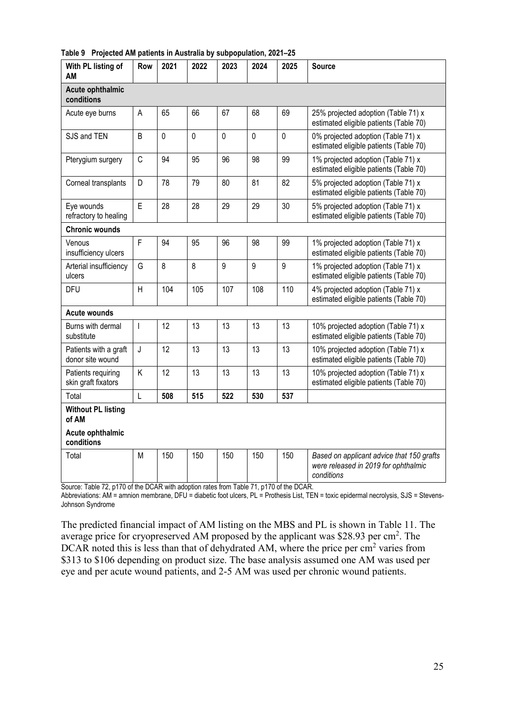| With PL listing of<br>ΑM                  | Row            | 2021        | 2022        | 2023           | 2024        | 2025           | <b>Source</b>                                                                                   |
|-------------------------------------------|----------------|-------------|-------------|----------------|-------------|----------------|-------------------------------------------------------------------------------------------------|
| Acute ophthalmic<br>conditions            |                |             |             |                |             |                |                                                                                                 |
| Acute eye burns                           | A              | 65          | 66          | 67             | 68          | 69             | 25% projected adoption (Table 71) x<br>estimated eligible patients (Table 70)                   |
| SJS and TEN                               | B              | $\mathbf 0$ | $\mathbf 0$ | $\mathbf 0$    | $\mathbf 0$ | $\mathbf 0$    | 0% projected adoption (Table 71) x<br>estimated eligible patients (Table 70)                    |
| Pterygium surgery                         | $\mathsf C$    | 94          | 95          | 96             | 98          | 99             | 1% projected adoption (Table 71) x<br>estimated eligible patients (Table 70)                    |
| Corneal transplants                       | D              | 78          | 79          | 80             | 81          | 82             | 5% projected adoption (Table 71) x<br>estimated eligible patients (Table 70)                    |
| Eye wounds<br>refractory to healing       | $\mathsf E$    | 28          | 28          | 29             | 29          | 30             | 5% projected adoption (Table 71) x<br>estimated eligible patients (Table 70)                    |
| <b>Chronic wounds</b>                     |                |             |             |                |             |                |                                                                                                 |
| Venous<br>insufficiency ulcers            | F              | 94          | 95          | 96             | 98          | 99             | 1% projected adoption (Table 71) x<br>estimated eligible patients (Table 70)                    |
| Arterial insufficiency<br>ulcers          | G              | 8           | 8           | $\overline{9}$ | 9           | $\overline{9}$ | 1% projected adoption (Table 71) x<br>estimated eligible patients (Table 70)                    |
| <b>DFU</b>                                | H              | 104         | 105         | 107            | 108         | 110            | 4% projected adoption (Table 71) x<br>estimated eligible patients (Table 70)                    |
| <b>Acute wounds</b>                       |                |             |             |                |             |                |                                                                                                 |
| Burns with dermal<br>substitute           | $\mathbf{I}$   | 12          | 13          | 13             | 13          | 13             | 10% projected adoption (Table 71) x<br>estimated eligible patients (Table 70)                   |
| Patients with a graft<br>donor site wound | J              | 12          | 13          | 13             | 13          | 13             | 10% projected adoption (Table 71) x<br>estimated eligible patients (Table 70)                   |
| Patients requiring<br>skin graft fixators | Κ              | 12          | 13          | 13             | 13          | 13             | 10% projected adoption (Table 71) x<br>estimated eligible patients (Table 70)                   |
| Total                                     | $\overline{L}$ | 508         | 515         | 522            | 530         | 537            |                                                                                                 |
| <b>Without PL listing</b><br>of AM        |                |             |             |                |             |                |                                                                                                 |
| Acute ophthalmic<br>conditions            |                |             |             |                |             |                |                                                                                                 |
| Total                                     | M              | 150         | 150         | 150            | 150         | 150            | Based on applicant advice that 150 grafts<br>were released in 2019 for ophthalmic<br>conditions |

**Table 9 Projected AM patients in Australia by subpopulation, 2021–25**

Source: Table 72, p170 of the DCAR with adoption rates from Table 71, p170 of the DCAR.

Abbreviations: AM = amnion membrane, DFU = diabetic foot ulcers, PL = Prothesis List, TEN = toxic epidermal necrolysis, SJS = Stevens-Johnson Syndrome

The predicted financial impact of AM listing on the MBS and PL is shown in [Table 11.](#page-25-0) The average price for cryopreserved AM proposed by the applicant was \$28.93 per cm<sup>2</sup>. The DCAR noted this is less than that of dehydrated AM, where the price per cm<sup>2</sup> varies from \$313 to \$106 depending on product size. The base analysis assumed one AM was used per eye and per acute wound patients, and 2-5 AM was used per chronic wound patients.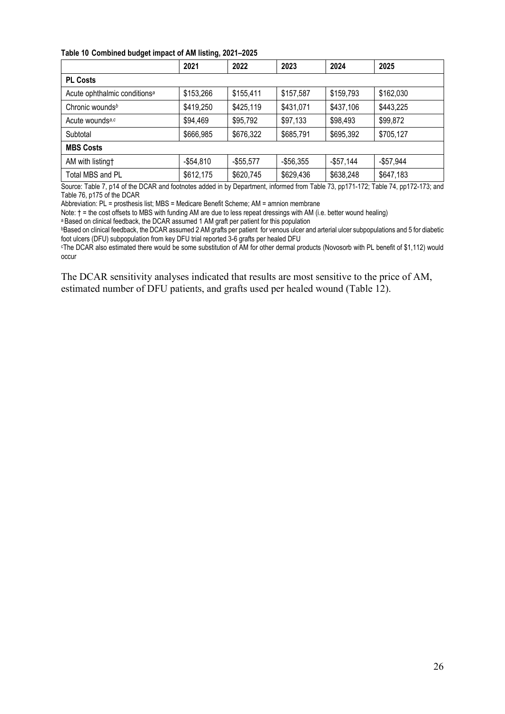#### <span id="page-25-0"></span>**Table 10 Combined budget impact of AM listing, 2021–2025**

|                                          | 2021       | 2022         | 2023       | 2024       | 2025         |  |  |
|------------------------------------------|------------|--------------|------------|------------|--------------|--|--|
| <b>PL Costs</b>                          |            |              |            |            |              |  |  |
| Acute ophthalmic conditions <sup>a</sup> | \$153,266  | \$155,411    | \$157,587  | \$159,793  | \$162,030    |  |  |
| Chronic wounds <sup>b</sup>              | \$419,250  | \$425,119    | \$431,071  | \$437,106  | \$443,225    |  |  |
| Acute wounds <sup>a,c</sup>              | \$94,469   | \$95,792     | \$97,133   | \$98,493   | \$99,872     |  |  |
| Subtotal                                 | \$666,985  | \$676,322    | \$685,791  | \$695,392  | \$705,127    |  |  |
| <b>MBS Costs</b>                         |            |              |            |            |              |  |  |
| AM with listing†                         | $-$54,810$ | $-$ \$55,577 | $-$56,355$ | $-$57,144$ | $-$ \$57,944 |  |  |
| Total MBS and PL                         | \$612,175  | \$620,745    | \$629,436  | \$638,248  | \$647,183    |  |  |

Source: Table 7, p14 of the DCAR and footnotes added in by Department, informed from Table 73, pp171-172; Table 74, pp172-173; and Table 76, p175 of the DCAR

Abbreviation: PL = prosthesis list; MBS = Medicare Benefit Scheme; AM = amnion membrane

Note: † = the cost offsets to MBS with funding AM are due to less repeat dressings with AM (i.e. better wound healing)

a Based on clinical feedback, the DCAR assumed 1 AM graft per patient for this population

bBased on clinical feedback, the DCAR assumed 2 AM grafts per patient for venous ulcer and arterial ulcer subpopulations and 5 for diabetic foot ulcers (DFU) subpopulation from key DFU trial reported 3-6 grafts per healed DFU

cThe DCAR also estimated there would be some substitution of AM for other dermal products (Novosorb with PL benefit of \$1,112) would occur

<span id="page-25-1"></span>The DCAR sensitivity analyses indicated that results are most sensitive to the price of AM, estimated number of DFU patients, and grafts used per healed wound [\(Table 12\)](#page-25-1).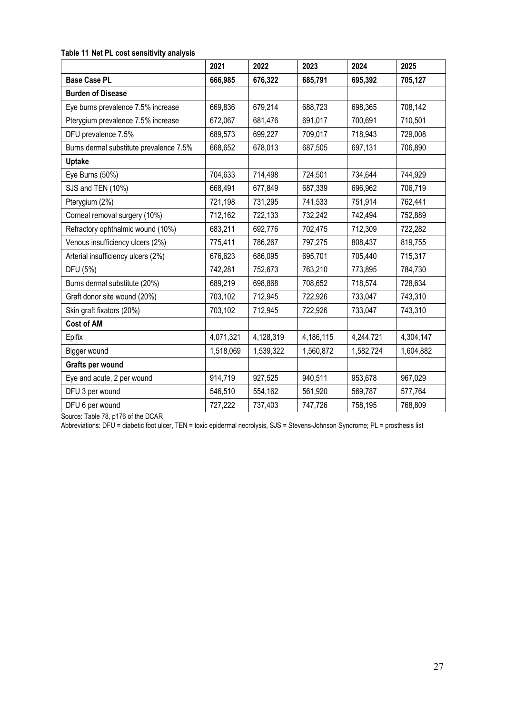#### **Table 11 Net PL cost sensitivity analysis**

|                                         | 2021      | 2022      | 2023      | 2024      | 2025      |
|-----------------------------------------|-----------|-----------|-----------|-----------|-----------|
| <b>Base Case PL</b>                     | 666,985   | 676,322   | 685,791   | 695,392   | 705,127   |
| <b>Burden of Disease</b>                |           |           |           |           |           |
| Eye burns prevalence 7.5% increase      | 669,836   | 679,214   | 688,723   | 698,365   | 708,142   |
| Pterygium prevalence 7.5% increase      | 672,067   | 681,476   | 691,017   | 700,691   | 710,501   |
| DFU prevalence 7.5%                     | 689,573   | 699,227   | 709,017   | 718,943   | 729,008   |
| Burns dermal substitute prevalence 7.5% | 668,652   | 678,013   | 687,505   | 697,131   | 706,890   |
| <b>Uptake</b>                           |           |           |           |           |           |
| Eye Burns (50%)                         | 704,633   | 714,498   | 724,501   | 734,644   | 744,929   |
| SJS and TEN (10%)                       | 668,491   | 677,849   | 687,339   | 696,962   | 706,719   |
| Pterygium (2%)                          | 721,198   | 731,295   | 741,533   | 751,914   | 762,441   |
| Corneal removal surgery (10%)           | 712,162   | 722,133   | 732,242   | 742,494   | 752,889   |
| Refractory ophthalmic wound (10%)       | 683,211   | 692,776   | 702,475   | 712,309   | 722,282   |
| Venous insufficiency ulcers (2%)        | 775,411   | 786,267   | 797,275   | 808,437   | 819,755   |
| Arterial insufficiency ulcers (2%)      | 676,623   | 686,095   | 695,701   | 705,440   | 715,317   |
| DFU (5%)                                | 742,281   | 752,673   | 763,210   | 773,895   | 784,730   |
| Burns dermal substitute (20%)           | 689,219   | 698,868   | 708,652   | 718,574   | 728,634   |
| Graft donor site wound (20%)            | 703,102   | 712,945   | 722,926   | 733,047   | 743,310   |
| Skin graft fixators (20%)               | 703,102   | 712,945   | 722,926   | 733,047   | 743,310   |
| <b>Cost of AM</b>                       |           |           |           |           |           |
| Epifix                                  | 4,071,321 | 4,128,319 | 4,186,115 | 4,244,721 | 4,304,147 |
| Bigger wound                            | 1,518,069 | 1,539,322 | 1,560,872 | 1,582,724 | 1,604,882 |
| Grafts per wound                        |           |           |           |           |           |
| Eye and acute, 2 per wound              | 914,719   | 927,525   | 940,511   | 953,678   | 967,029   |
| DFU 3 per wound                         | 546,510   | 554,162   | 561,920   | 569,787   | 577,764   |
| DFU 6 per wound                         | 727,222   | 737,403   | 747,726   | 758,195   | 768,809   |

Source: Table 78, p176 of the DCAR

Abbreviations: DFU = diabetic foot ulcer, TEN = toxic epidermal necrolysis, SJS = Stevens-Johnson Syndrome; PL = prosthesis list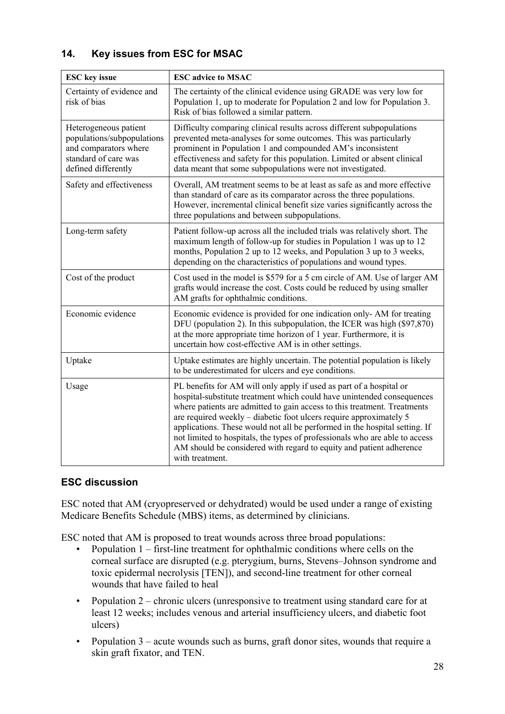# **14. Key issues from ESC for MSAC**

| <b>ESC</b> key issue                                                                                                        | <b>ESC</b> advice to MSAC                                                                                                                                                                                                                                                                                                                                                                                                                                                                                                                              |  |  |
|-----------------------------------------------------------------------------------------------------------------------------|--------------------------------------------------------------------------------------------------------------------------------------------------------------------------------------------------------------------------------------------------------------------------------------------------------------------------------------------------------------------------------------------------------------------------------------------------------------------------------------------------------------------------------------------------------|--|--|
| Certainty of evidence and<br>risk of bias                                                                                   | The certainty of the clinical evidence using GRADE was very low for<br>Population 1, up to moderate for Population 2 and low for Population 3.<br>Risk of bias followed a similar pattern.                                                                                                                                                                                                                                                                                                                                                             |  |  |
| Heterogeneous patient<br>populations/subpopulations<br>and comparators where<br>standard of care was<br>defined differently | Difficulty comparing clinical results across different subpopulations<br>prevented meta-analyses for some outcomes. This was particularly<br>prominent in Population 1 and compounded AM's inconsistent<br>effectiveness and safety for this population. Limited or absent clinical<br>data meant that some subpopulations were not investigated.                                                                                                                                                                                                      |  |  |
| Safety and effectiveness                                                                                                    | Overall, AM treatment seems to be at least as safe as and more effective<br>than standard of care as its comparator across the three populations.<br>However, incremental clinical benefit size varies significantly across the<br>three populations and between subpopulations.                                                                                                                                                                                                                                                                       |  |  |
| Long-term safety                                                                                                            | Patient follow-up across all the included trials was relatively short. The<br>maximum length of follow-up for studies in Population 1 was up to 12<br>months, Population 2 up to 12 weeks, and Population 3 up to 3 weeks,<br>depending on the characteristics of populations and wound types.                                                                                                                                                                                                                                                         |  |  |
| Cost of the product                                                                                                         | Cost used in the model is \$579 for a 5 cm circle of AM. Use of larger AM<br>grafts would increase the cost. Costs could be reduced by using smaller<br>AM grafts for ophthalmic conditions.                                                                                                                                                                                                                                                                                                                                                           |  |  |
| Economic evidence                                                                                                           | Economic evidence is provided for one indication only-AM for treating<br>DFU (population 2). In this subpopulation, the ICER was high (\$97,870)<br>at the more appropriate time horizon of 1 year. Furthermore, it is<br>uncertain how cost-effective AM is in other settings.                                                                                                                                                                                                                                                                        |  |  |
| Uptake                                                                                                                      | Uptake estimates are highly uncertain. The potential population is likely<br>to be underestimated for ulcers and eye conditions.                                                                                                                                                                                                                                                                                                                                                                                                                       |  |  |
| Usage                                                                                                                       | PL benefits for AM will only apply if used as part of a hospital or<br>hospital-substitute treatment which could have unintended consequences<br>where patients are admitted to gain access to this treatment. Treatments<br>are required weekly - diabetic foot ulcers require approximately 5<br>applications. These would not all be performed in the hospital setting. If<br>not limited to hospitals, the types of professionals who are able to access<br>AM should be considered with regard to equity and patient adherence<br>with treatment. |  |  |

### **ESC discussion**

ESC noted that AM (cryopreserved or dehydrated) would be used under a range of existing Medicare Benefits Schedule (MBS) items, as determined by clinicians.

ESC noted that AM is proposed to treat wounds across three broad populations:

- Population 1 first-line treatment for ophthalmic conditions where cells on the corneal surface are disrupted (e.g. pterygium, burns, Stevens–Johnson syndrome and toxic epidermal necrolysis [TEN]), and second-line treatment for other corneal wounds that have failed to heal
- Population 2 chronic ulcers (unresponsive to treatment using standard care for at least 12 weeks; includes venous and arterial insufficiency ulcers, and diabetic foot ulcers)
- Population 3 acute wounds such as burns, graft donor sites, wounds that require a skin graft fixator, and TEN.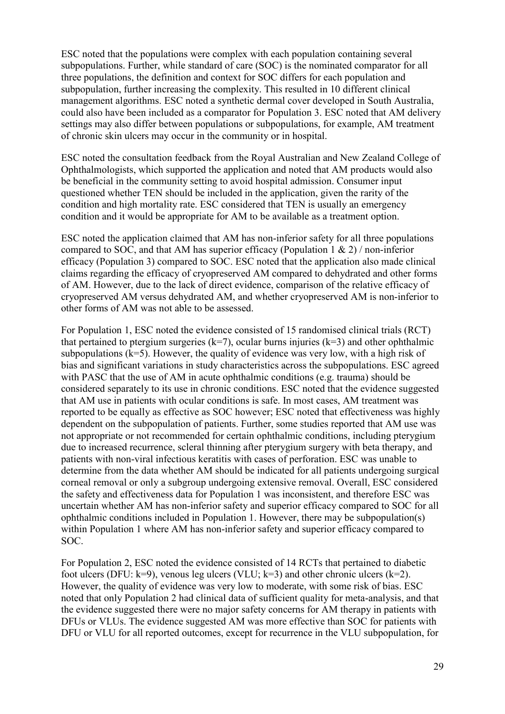ESC noted that the populations were complex with each population containing several subpopulations. Further, while standard of care (SOC) is the nominated comparator for all three populations, the definition and context for SOC differs for each population and subpopulation, further increasing the complexity. This resulted in 10 different clinical management algorithms. ESC noted a synthetic dermal cover developed in South Australia, could also have been included as a comparator for Population 3. ESC noted that AM delivery settings may also differ between populations or subpopulations, for example, AM treatment of chronic skin ulcers may occur in the community or in hospital.

ESC noted the consultation feedback from the Royal Australian and New Zealand College of Ophthalmologists, which supported the application and noted that AM products would also be beneficial in the community setting to avoid hospital admission. Consumer input questioned whether TEN should be included in the application, given the rarity of the condition and high mortality rate. ESC considered that TEN is usually an emergency condition and it would be appropriate for AM to be available as a treatment option.

ESC noted the application claimed that AM has non-inferior safety for all three populations compared to SOC, and that AM has superior efficacy (Population 1 & 2) / non-inferior efficacy (Population 3) compared to SOC. ESC noted that the application also made clinical claims regarding the efficacy of cryopreserved AM compared to dehydrated and other forms of AM. However, due to the lack of direct evidence, comparison of the relative efficacy of cryopreserved AM versus dehydrated AM, and whether cryopreserved AM is non-inferior to other forms of AM was not able to be assessed.

For Population 1, ESC noted the evidence consisted of 15 randomised clinical trials (RCT) that pertained to ptergium surgeries  $(k=7)$ , ocular burns injuries  $(k=3)$  and other ophthalmic subpopulations  $(k=5)$ . However, the quality of evidence was very low, with a high risk of bias and significant variations in study characteristics across the subpopulations. ESC agreed with PASC that the use of AM in acute ophthalmic conditions (e.g. trauma) should be considered separately to its use in chronic conditions. ESC noted that the evidence suggested that AM use in patients with ocular conditions is safe. In most cases, AM treatment was reported to be equally as effective as SOC however; ESC noted that effectiveness was highly dependent on the subpopulation of patients. Further, some studies reported that AM use was not appropriate or not recommended for certain ophthalmic conditions, including pterygium due to increased recurrence, scleral thinning after pterygium surgery with beta therapy, and patients with non-viral infectious keratitis with cases of perforation. ESC was unable to determine from the data whether AM should be indicated for all patients undergoing surgical corneal removal or only a subgroup undergoing extensive removal. Overall, ESC considered the safety and effectiveness data for Population 1 was inconsistent, and therefore ESC was uncertain whether AM has non-inferior safety and superior efficacy compared to SOC for all ophthalmic conditions included in Population 1. However, there may be subpopulation(s) within Population 1 where AM has non-inferior safety and superior efficacy compared to SOC.

For Population 2, ESC noted the evidence consisted of 14 RCTs that pertained to diabetic foot ulcers (DFU:  $k=9$ ), venous leg ulcers (VLU;  $k=3$ ) and other chronic ulcers ( $k=2$ ). However, the quality of evidence was very low to moderate, with some risk of bias. ESC noted that only Population 2 had clinical data of sufficient quality for meta-analysis, and that the evidence suggested there were no major safety concerns for AM therapy in patients with DFUs or VLUs. The evidence suggested AM was more effective than SOC for patients with DFU or VLU for all reported outcomes, except for recurrence in the VLU subpopulation, for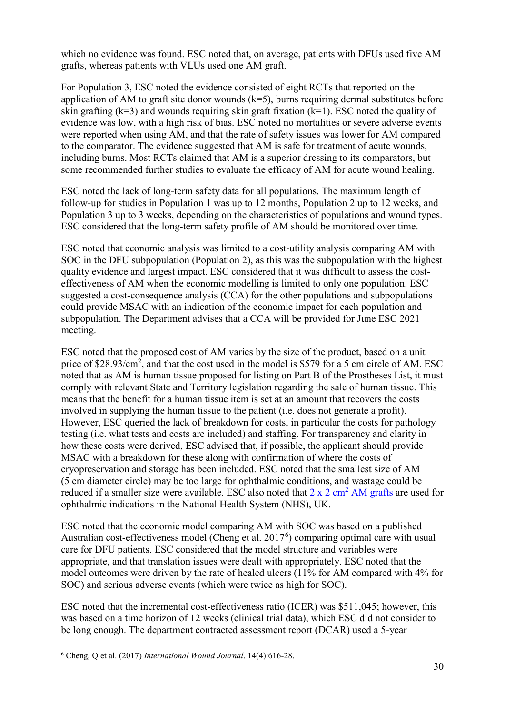which no evidence was found. ESC noted that, on average, patients with DFUs used five AM grafts, whereas patients with VLUs used one AM graft.

For Population 3, ESC noted the evidence consisted of eight RCTs that reported on the application of AM to graft site donor wounds  $(k=5)$ , burns requiring dermal substitutes before skin grafting ( $k=3$ ) and wounds requiring skin graft fixation ( $k=1$ ). ESC noted the quality of evidence was low, with a high risk of bias. ESC noted no mortalities or severe adverse events were reported when using AM, and that the rate of safety issues was lower for AM compared to the comparator. The evidence suggested that AM is safe for treatment of acute wounds, including burns. Most RCTs claimed that AM is a superior dressing to its comparators, but some recommended further studies to evaluate the efficacy of AM for acute wound healing.

ESC noted the lack of long-term safety data for all populations. The maximum length of follow-up for studies in Population 1 was up to 12 months, Population 2 up to 12 weeks, and Population 3 up to 3 weeks, depending on the characteristics of populations and wound types. ESC considered that the long-term safety profile of AM should be monitored over time.

ESC noted that economic analysis was limited to a cost-utility analysis comparing AM with SOC in the DFU subpopulation (Population 2), as this was the subpopulation with the highest quality evidence and largest impact. ESC considered that it was difficult to assess the costeffectiveness of AM when the economic modelling is limited to only one population. ESC suggested a cost-consequence analysis (CCA) for the other populations and subpopulations could provide MSAC with an indication of the economic impact for each population and subpopulation. The Department advises that a CCA will be provided for June ESC 2021 meeting.

ESC noted that the proposed cost of AM varies by the size of the product, based on a unit price of \$28.93/cm<sup>2</sup>, and that the cost used in the model is \$579 for a 5 cm circle of AM. ESC noted that as AM is human tissue proposed for listing on Part B of the Prostheses List, it must comply with relevant State and Territory legislation regarding the sale of human tissue. This means that the benefit for a human tissue item is set at an amount that recovers the costs involved in supplying the human tissue to the patient (i.e. does not generate a profit). However, ESC queried the lack of breakdown for costs, in particular the costs for pathology testing (i.e. what tests and costs are included) and staffing. For transparency and clarity in how these costs were derived, ESC advised that, if possible, the applicant should provide MSAC with a breakdown for these along with confirmation of where the costs of cryopreservation and storage has been included. ESC noted that the smallest size of AM (5 cm diameter circle) may be too large for ophthalmic conditions, and wastage could be reduced if a smaller size were available. ESC also noted that  $2 \times 2 \text{ cm}^2$  [AM grafts](https://www.nhsbt.nhs.uk/tissue-and-eye-services/products/eyes/amniotic-membrane/) are used for ophthalmic indications in the National Health System (NHS), UK.

ESC noted that the economic model comparing AM with SOC was based on a published Australian cost-effectiveness model (Cheng et al. 2017<sup>[6](#page-29-0)</sup>) comparing optimal care with usual care for DFU patients. ESC considered that the model structure and variables were appropriate, and that translation issues were dealt with appropriately. ESC noted that the model outcomes were driven by the rate of healed ulcers (11% for AM compared with 4% for SOC) and serious adverse events (which were twice as high for SOC).

ESC noted that the incremental cost-effectiveness ratio (ICER) was \$511,045; however, this was based on a time horizon of 12 weeks (clinical trial data), which ESC did not consider to be long enough. The department contracted assessment report (DCAR) used a 5-year

<span id="page-29-0"></span> <sup>6</sup> Cheng, Q et al. (2017) *International Wound Journal*. 14(4):616-28.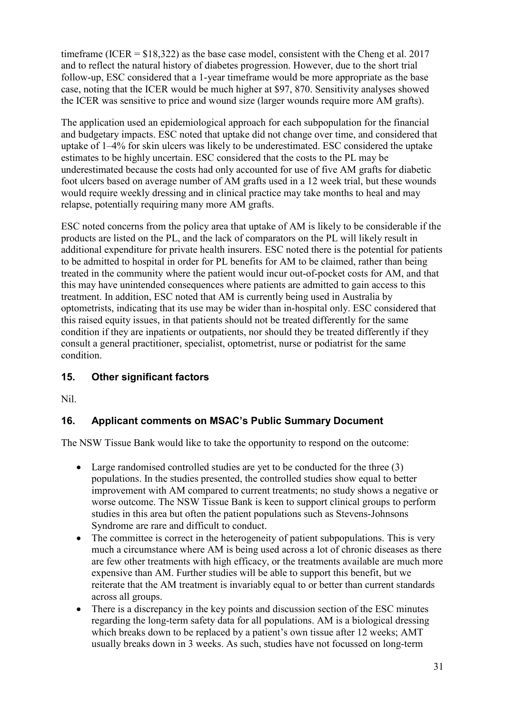timeframe (ICER =  $$18,322$ ) as the base case model, consistent with the Cheng et al. 2017 and to reflect the natural history of diabetes progression. However, due to the short trial follow-up, ESC considered that a 1-year timeframe would be more appropriate as the base case, noting that the ICER would be much higher at \$97, 870. Sensitivity analyses showed the ICER was sensitive to price and wound size (larger wounds require more AM grafts).

The application used an epidemiological approach for each subpopulation for the financial and budgetary impacts. ESC noted that uptake did not change over time, and considered that uptake of 1–4% for skin ulcers was likely to be underestimated. ESC considered the uptake estimates to be highly uncertain. ESC considered that the costs to the PL may be underestimated because the costs had only accounted for use of five AM grafts for diabetic foot ulcers based on average number of AM grafts used in a 12 week trial, but these wounds would require weekly dressing and in clinical practice may take months to heal and may relapse, potentially requiring many more AM grafts.

ESC noted concerns from the policy area that uptake of AM is likely to be considerable if the products are listed on the PL, and the lack of comparators on the PL will likely result in additional expenditure for private health insurers. ESC noted there is the potential for patients to be admitted to hospital in order for PL benefits for AM to be claimed, rather than being treated in the community where the patient would incur out-of-pocket costs for AM, and that this may have unintended consequences where patients are admitted to gain access to this treatment. In addition, ESC noted that AM is currently being used in Australia by optometrists, indicating that its use may be wider than in-hospital only. ESC considered that this raised equity issues, in that patients should not be treated differently for the same condition if they are inpatients or outpatients, nor should they be treated differently if they consult a general practitioner, specialist, optometrist, nurse or podiatrist for the same condition.

# **15. Other significant factors**

Nil.

# **16. Applicant comments on MSAC's Public Summary Document**

The NSW Tissue Bank would like to take the opportunity to respond on the outcome:

- Large randomised controlled studies are yet to be conducted for the three (3) populations. In the studies presented, the controlled studies show equal to better improvement with AM compared to current treatments; no study shows a negative or worse outcome. The NSW Tissue Bank is keen to support clinical groups to perform studies in this area but often the patient populations such as Stevens-Johnsons Syndrome are rare and difficult to conduct.
- The committee is correct in the heterogeneity of patient subpopulations. This is very much a circumstance where AM is being used across a lot of chronic diseases as there are few other treatments with high efficacy, or the treatments available are much more expensive than AM. Further studies will be able to support this benefit, but we reiterate that the AM treatment is invariably equal to or better than current standards across all groups.
- There is a discrepancy in the key points and discussion section of the ESC minutes regarding the long-term safety data for all populations. AM is a biological dressing which breaks down to be replaced by a patient's own tissue after 12 weeks; AMT usually breaks down in 3 weeks. As such, studies have not focussed on long-term